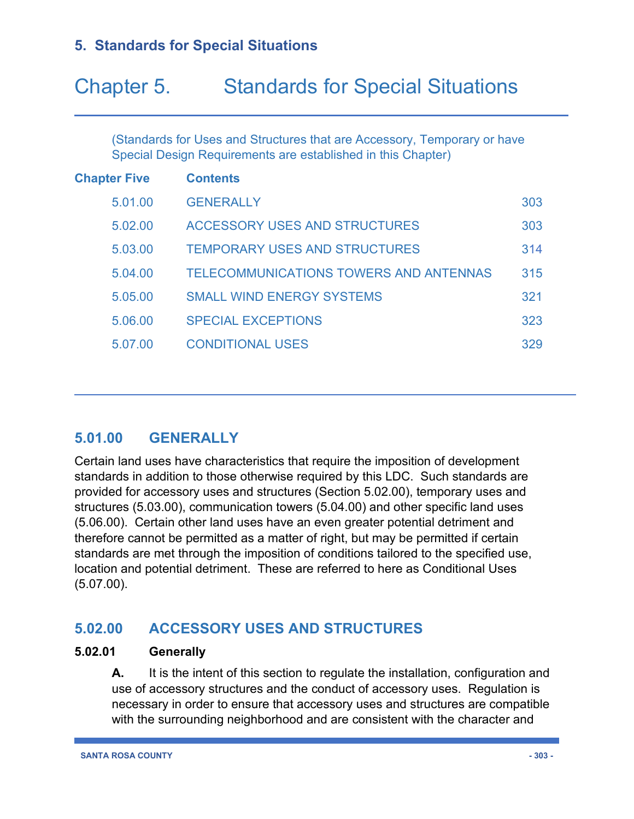# Chapter 5. Standards for Special Situations

(Standards for Uses and Structures that are Accessory, Temporary or have Special Design Requirements are established in this Chapter)

| <b>Chapter Five</b> | <b>Contents</b>                               |     |
|---------------------|-----------------------------------------------|-----|
| 5.01.00             | <b>GENERALLY</b>                              | 303 |
| 5.02.00             | ACCESSORY USES AND STRUCTURES                 | 303 |
| 5.03.00             | <b>TEMPORARY USES AND STRUCTURES</b>          | 314 |
| 5.04.00             | <b>TELECOMMUNICATIONS TOWERS AND ANTENNAS</b> | 315 |
| 5.05.00             | <b>SMALL WIND ENERGY SYSTEMS</b>              | 321 |
| 5.06.00             | <b>SPECIAL EXCEPTIONS</b>                     | 323 |
| 5.07.00             | <b>CONDITIONAL USES</b>                       | 329 |

# **5.01.00 GENERALLY**

Certain land uses have characteristics that require the imposition of development standards in addition to those otherwise required by this LDC. Such standards are provided for accessory uses and structures (Section 5.02.00), temporary uses and structures (5.03.00), communication towers (5.04.00) and other specific land uses (5.06.00). Certain other land uses have an even greater potential detriment and therefore cannot be permitted as a matter of right, but may be permitted if certain standards are met through the imposition of conditions tailored to the specified use, location and potential detriment. These are referred to here as Conditional Uses (5.07.00).

### **5.02.00 ACCESSORY USES AND STRUCTURES**

#### **5.02.01 Generally**

**A.** It is the intent of this section to regulate the installation, configuration and use of accessory structures and the conduct of accessory uses. Regulation is necessary in order to ensure that accessory uses and structures are compatible with the surrounding neighborhood and are consistent with the character and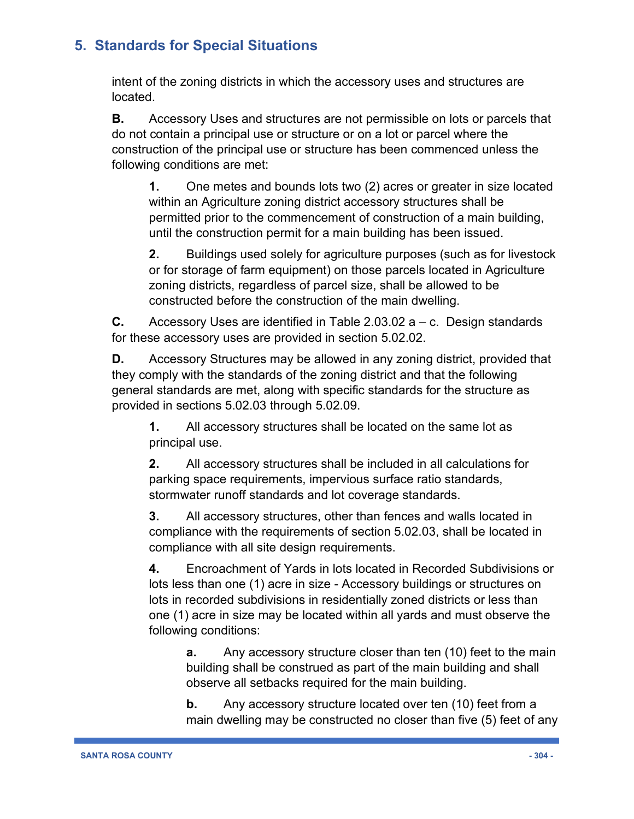intent of the zoning districts in which the accessory uses and structures are located.

**B.** Accessory Uses and structures are not permissible on lots or parcels that do not contain a principal use or structure or on a lot or parcel where the construction of the principal use or structure has been commenced unless the following conditions are met:

**1.** One metes and bounds lots two (2) acres or greater in size located within an Agriculture zoning district accessory structures shall be permitted prior to the commencement of construction of a main building, until the construction permit for a main building has been issued.

**2.** Buildings used solely for agriculture purposes (such as for livestock or for storage of farm equipment) on those parcels located in Agriculture zoning districts, regardless of parcel size, shall be allowed to be constructed before the construction of the main dwelling.

**C.** Accessory Uses are identified in Table 2.03.02 a – c. Design standards for these accessory uses are provided in section 5.02.02.

**D.** Accessory Structures may be allowed in any zoning district, provided that they comply with the standards of the zoning district and that the following general standards are met, along with specific standards for the structure as provided in sections 5.02.03 through 5.02.09.

**1.** All accessory structures shall be located on the same lot as principal use.

**2.** All accessory structures shall be included in all calculations for parking space requirements, impervious surface ratio standards, stormwater runoff standards and lot coverage standards.

**3.** All accessory structures, other than fences and walls located in compliance with the requirements of section 5.02.03, shall be located in compliance with all site design requirements.

**4.** Encroachment of Yards in lots located in Recorded Subdivisions or lots less than one (1) acre in size - Accessory buildings or structures on lots in recorded subdivisions in residentially zoned districts or less than one (1) acre in size may be located within all yards and must observe the following conditions:

**a.** Any accessory structure closer than ten (10) feet to the main building shall be construed as part of the main building and shall observe all setbacks required for the main building.

**b.** Any accessory structure located over ten (10) feet from a main dwelling may be constructed no closer than five (5) feet of any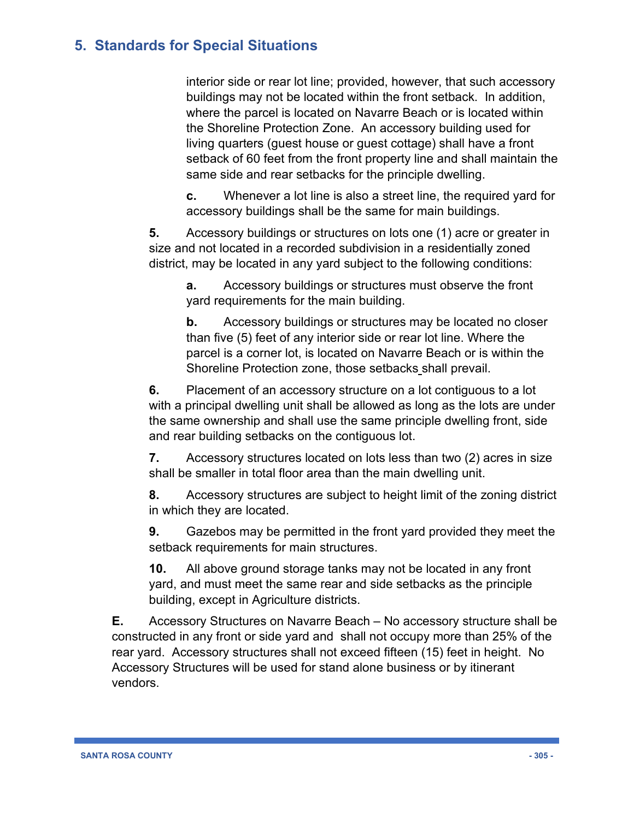interior side or rear lot line; provided, however, that such accessory buildings may not be located within the front setback. In addition, where the parcel is located on Navarre Beach or is located within the Shoreline Protection Zone. An accessory building used for living quarters (guest house or guest cottage) shall have a front setback of 60 feet from the front property line and shall maintain the same side and rear setbacks for the principle dwelling.

**c.** Whenever a lot line is also a street line, the required yard for accessory buildings shall be the same for main buildings.

**5.** Accessory buildings or structures on lots one (1) acre or greater in size and not located in a recorded subdivision in a residentially zoned district, may be located in any yard subject to the following conditions:

**a.** Accessory buildings or structures must observe the front yard requirements for the main building.

**b.** Accessory buildings or structures may be located no closer than five (5) feet of any interior side or rear lot line. Where the parcel is a corner lot, is located on Navarre Beach or is within the Shoreline Protection zone, those setbacks shall prevail.

**6.** Placement of an accessory structure on a lot contiguous to a lot with a principal dwelling unit shall be allowed as long as the lots are under the same ownership and shall use the same principle dwelling front, side and rear building setbacks on the contiguous lot.

**7.** Accessory structures located on lots less than two (2) acres in size shall be smaller in total floor area than the main dwelling unit.

**8.** Accessory structures are subject to height limit of the zoning district in which they are located.

**9.** Gazebos may be permitted in the front yard provided they meet the setback requirements for main structures.

**10.** All above ground storage tanks may not be located in any front yard, and must meet the same rear and side setbacks as the principle building, except in Agriculture districts.

**E.** Accessory Structures on Navarre Beach – No accessory structure shall be constructed in any front or side yard and shall not occupy more than 25% of the rear yard. Accessory structures shall not exceed fifteen (15) feet in height. No Accessory Structures will be used for stand alone business or by itinerant vendors.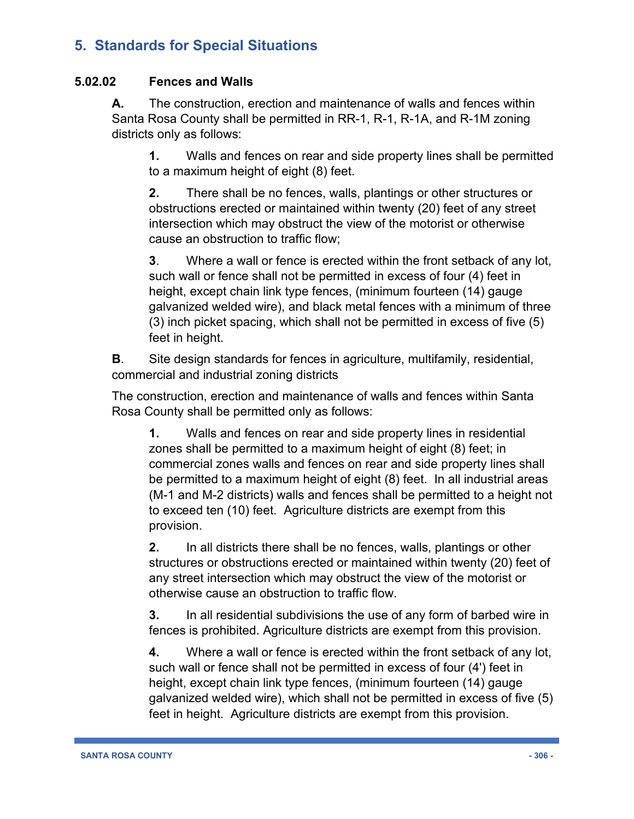#### **5.02.02 Fences and Walls**

**A.** The construction, erection and maintenance of walls and fences within Santa Rosa County shall be permitted in RR-1, R-1, R-1A, and R-1M zoning districts only as follows:

**1.** Walls and fences on rear and side property lines shall be permitted to a maximum height of eight (8) feet.

**2.** There shall be no fences, walls, plantings or other structures or obstructions erected or maintained within twenty (20) feet of any street intersection which may obstruct the view of the motorist or otherwise cause an obstruction to traffic flow;

**3**. Where a wall or fence is erected within the front setback of any lot, such wall or fence shall not be permitted in excess of four (4) feet in height, except chain link type fences, (minimum fourteen (14) gauge galvanized welded wire), and black metal fences with a minimum of three (3) inch picket spacing, which shall not be permitted in excess of five (5) feet in height.

**B**. Site design standards for fences in agriculture, multifamily, residential, commercial and industrial zoning districts

The construction, erection and maintenance of walls and fences within Santa Rosa County shall be permitted only as follows:

**1.** Walls and fences on rear and side property lines in residential zones shall be permitted to a maximum height of eight (8) feet; in commercial zones walls and fences on rear and side property lines shall be permitted to a maximum height of eight (8) feet. In all industrial areas (M-1 and M-2 districts) walls and fences shall be permitted to a height not to exceed ten (10) feet. Agriculture districts are exempt from this provision.

**2.** In all districts there shall be no fences, walls, plantings or other structures or obstructions erected or maintained within twenty (20) feet of any street intersection which may obstruct the view of the motorist or otherwise cause an obstruction to traffic flow.

**3.** In all residential subdivisions the use of any form of barbed wire in fences is prohibited. Agriculture districts are exempt from this provision.

**4.** Where a wall or fence is erected within the front setback of any lot, such wall or fence shall not be permitted in excess of four (4') feet in height, except chain link type fences, (minimum fourteen (14) gauge galvanized welded wire), which shall not be permitted in excess of five (5) feet in height. Agriculture districts are exempt from this provision.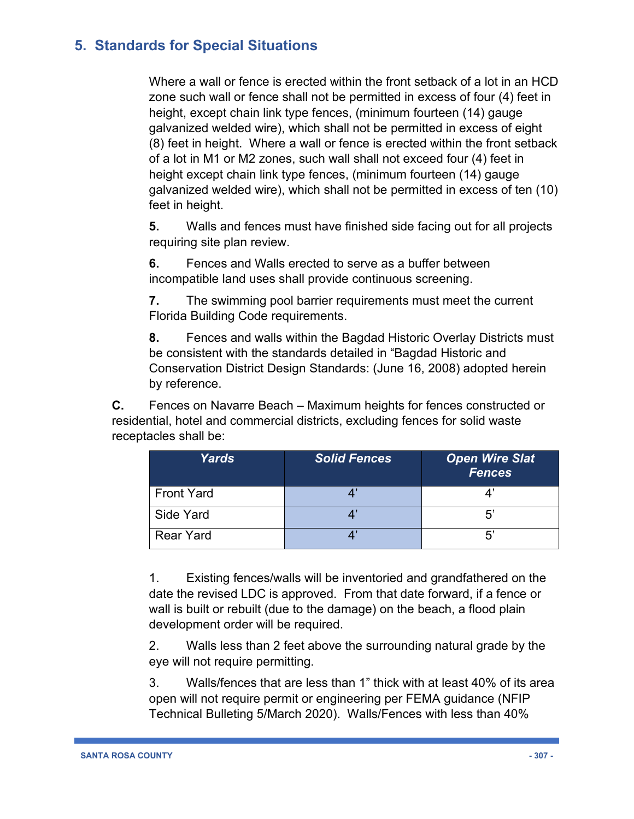Where a wall or fence is erected within the front setback of a lot in an HCD zone such wall or fence shall not be permitted in excess of four (4) feet in height, except chain link type fences, (minimum fourteen (14) gauge galvanized welded wire), which shall not be permitted in excess of eight (8) feet in height. Where a wall or fence is erected within the front setback of a lot in M1 or M2 zones, such wall shall not exceed four (4) feet in height except chain link type fences, (minimum fourteen (14) gauge galvanized welded wire), which shall not be permitted in excess of ten (10) feet in height.

**5.** Walls and fences must have finished side facing out for all projects requiring site plan review.

**6.** Fences and Walls erected to serve as a buffer between incompatible land uses shall provide continuous screening.

**7.** The swimming pool barrier requirements must meet the current Florida Building Code requirements.

**8.** Fences and walls within the Bagdad Historic Overlay Districts must be consistent with the standards detailed in "Bagdad Historic and Conservation District Design Standards: (June 16, 2008) adopted herein by reference.

**C.** Fences on Navarre Beach – Maximum heights for fences constructed or residential, hotel and commercial districts, excluding fences for solid waste receptacles shall be:

| <b>Yards</b>      | <b>Solid Fences</b> | <b>Open Wire Slat</b><br><b>Fences</b> |
|-------------------|---------------------|----------------------------------------|
| <b>Front Yard</b> |                     |                                        |
| Side Yard         |                     | 5'                                     |
| <b>Rear Yard</b>  |                     | 5'                                     |

1. Existing fences/walls will be inventoried and grandfathered on the date the revised LDC is approved. From that date forward, if a fence or wall is built or rebuilt (due to the damage) on the beach, a flood plain development order will be required.

2. Walls less than 2 feet above the surrounding natural grade by the eye will not require permitting.

3. Walls/fences that are less than 1" thick with at least 40% of its area open will not require permit or engineering per FEMA guidance (NFIP Technical Bulleting 5/March 2020). Walls/Fences with less than 40%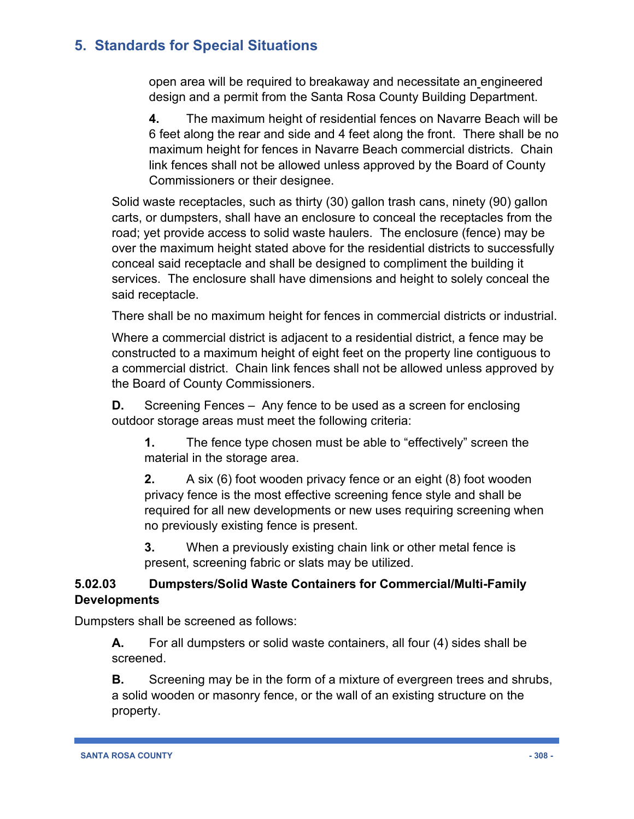open area will be required to breakaway and necessitate an engineered design and a permit from the Santa Rosa County Building Department.

**4.** The maximum height of residential fences on Navarre Beach will be 6 feet along the rear and side and 4 feet along the front. There shall be no maximum height for fences in Navarre Beach commercial districts. Chain link fences shall not be allowed unless approved by the Board of County Commissioners or their designee.

Solid waste receptacles, such as thirty (30) gallon trash cans, ninety (90) gallon carts, or dumpsters, shall have an enclosure to conceal the receptacles from the road; yet provide access to solid waste haulers. The enclosure (fence) may be over the maximum height stated above for the residential districts to successfully conceal said receptacle and shall be designed to compliment the building it services. The enclosure shall have dimensions and height to solely conceal the said receptacle.

There shall be no maximum height for fences in commercial districts or industrial.

Where a commercial district is adjacent to a residential district, a fence may be constructed to a maximum height of eight feet on the property line contiguous to a commercial district. Chain link fences shall not be allowed unless approved by the Board of County Commissioners.

**D.** Screening Fences – Any fence to be used as a screen for enclosing outdoor storage areas must meet the following criteria:

**1.** The fence type chosen must be able to "effectively" screen the material in the storage area.

**2.** A six (6) foot wooden privacy fence or an eight (8) foot wooden privacy fence is the most effective screening fence style and shall be required for all new developments or new uses requiring screening when no previously existing fence is present.

**3.** When a previously existing chain link or other metal fence is present, screening fabric or slats may be utilized.

#### **5.02.03 Dumpsters/Solid Waste Containers for Commercial/Multi-Family Developments**

Dumpsters shall be screened as follows:

**A.** For all dumpsters or solid waste containers, all four (4) sides shall be screened.

**B.** Screening may be in the form of a mixture of evergreen trees and shrubs, a solid wooden or masonry fence, or the wall of an existing structure on the property.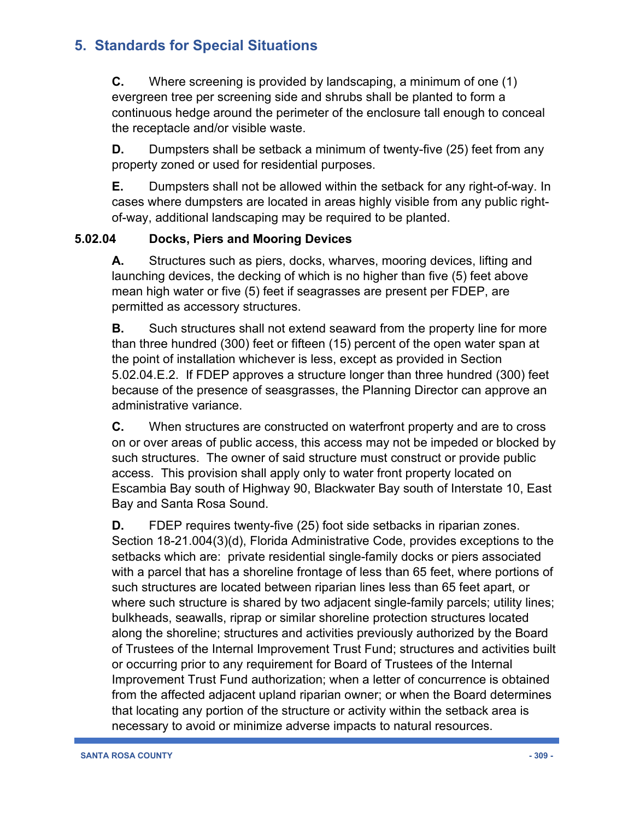**C.** Where screening is provided by landscaping, a minimum of one (1) evergreen tree per screening side and shrubs shall be planted to form a continuous hedge around the perimeter of the enclosure tall enough to conceal the receptacle and/or visible waste.

**D.** Dumpsters shall be setback a minimum of twenty-five (25) feet from any property zoned or used for residential purposes.

**E.** Dumpsters shall not be allowed within the setback for any right-of-way. In cases where dumpsters are located in areas highly visible from any public rightof-way, additional landscaping may be required to be planted.

#### **5.02.04 Docks, Piers and Mooring Devices**

**A.** Structures such as piers, docks, wharves, mooring devices, lifting and launching devices, the decking of which is no higher than five (5) feet above mean high water or five (5) feet if seagrasses are present per FDEP, are permitted as accessory structures.

**B.** Such structures shall not extend seaward from the property line for more than three hundred (300) feet or fifteen (15) percent of the open water span at the point of installation whichever is less, except as provided in Section 5.02.04.E.2. If FDEP approves a structure longer than three hundred (300) feet because of the presence of seasgrasses, the Planning Director can approve an administrative variance.

**C.** When structures are constructed on waterfront property and are to cross on or over areas of public access, this access may not be impeded or blocked by such structures. The owner of said structure must construct or provide public access. This provision shall apply only to water front property located on Escambia Bay south of Highway 90, Blackwater Bay south of Interstate 10, East Bay and Santa Rosa Sound.

**D.** FDEP requires twenty-five (25) foot side setbacks in riparian zones. Section 18-21.004(3)(d), Florida Administrative Code, provides exceptions to the setbacks which are: private residential single-family docks or piers associated with a parcel that has a shoreline frontage of less than 65 feet, where portions of such structures are located between riparian lines less than 65 feet apart, or where such structure is shared by two adjacent single-family parcels; utility lines; bulkheads, seawalls, riprap or similar shoreline protection structures located along the shoreline; structures and activities previously authorized by the Board of Trustees of the Internal Improvement Trust Fund; structures and activities built or occurring prior to any requirement for Board of Trustees of the Internal Improvement Trust Fund authorization; when a letter of concurrence is obtained from the affected adjacent upland riparian owner; or when the Board determines that locating any portion of the structure or activity within the setback area is necessary to avoid or minimize adverse impacts to natural resources.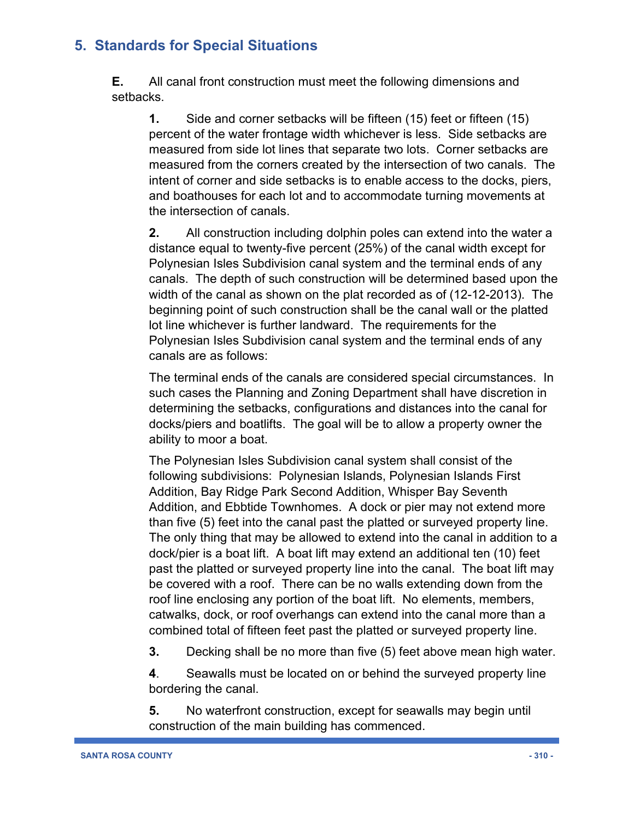**E.** All canal front construction must meet the following dimensions and setbacks.

**1.** Side and corner setbacks will be fifteen (15) feet or fifteen (15) percent of the water frontage width whichever is less. Side setbacks are measured from side lot lines that separate two lots. Corner setbacks are measured from the corners created by the intersection of two canals. The intent of corner and side setbacks is to enable access to the docks, piers, and boathouses for each lot and to accommodate turning movements at the intersection of canals.

**2.** All construction including dolphin poles can extend into the water a distance equal to twenty-five percent (25%) of the canal width except for Polynesian Isles Subdivision canal system and the terminal ends of any canals. The depth of such construction will be determined based upon the width of the canal as shown on the plat recorded as of (12-12-2013). The beginning point of such construction shall be the canal wall or the platted lot line whichever is further landward. The requirements for the Polynesian Isles Subdivision canal system and the terminal ends of any canals are as follows:

The terminal ends of the canals are considered special circumstances. In such cases the Planning and Zoning Department shall have discretion in determining the setbacks, configurations and distances into the canal for docks/piers and boatlifts. The goal will be to allow a property owner the ability to moor a boat.

The Polynesian Isles Subdivision canal system shall consist of the following subdivisions: Polynesian Islands, Polynesian Islands First Addition, Bay Ridge Park Second Addition, Whisper Bay Seventh Addition, and Ebbtide Townhomes. A dock or pier may not extend more than five (5) feet into the canal past the platted or surveyed property line. The only thing that may be allowed to extend into the canal in addition to a dock/pier is a boat lift. A boat lift may extend an additional ten (10) feet past the platted or surveyed property line into the canal. The boat lift may be covered with a roof. There can be no walls extending down from the roof line enclosing any portion of the boat lift. No elements, members, catwalks, dock, or roof overhangs can extend into the canal more than a combined total of fifteen feet past the platted or surveyed property line.

**3.** Decking shall be no more than five (5) feet above mean high water.

**4**. Seawalls must be located on or behind the surveyed property line bordering the canal.

**5.** No waterfront construction, except for seawalls may begin until construction of the main building has commenced.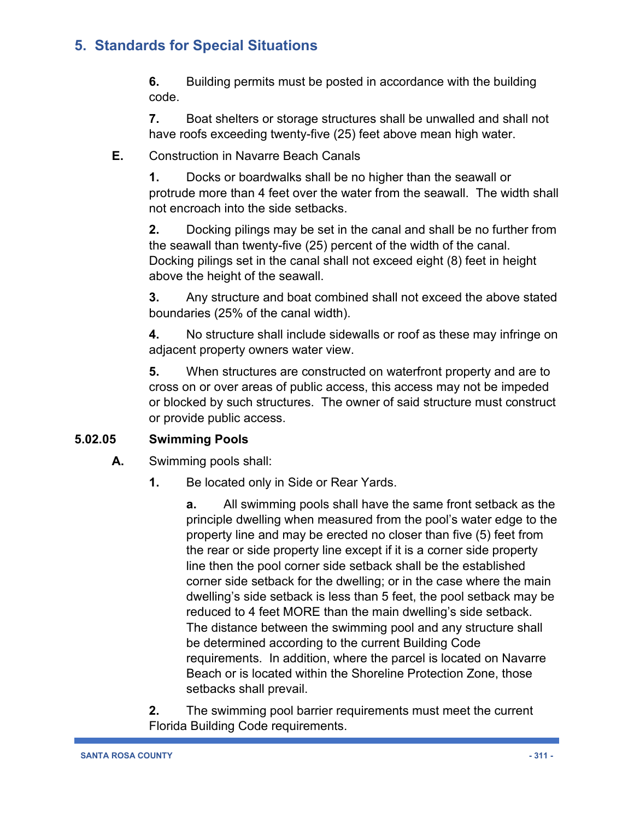**6.** Building permits must be posted in accordance with the building code.

**7.** Boat shelters or storage structures shall be unwalled and shall not have roofs exceeding twenty-five (25) feet above mean high water.

#### **E.** Construction in Navarre Beach Canals

**1.** Docks or boardwalks shall be no higher than the seawall or protrude more than 4 feet over the water from the seawall. The width shall not encroach into the side setbacks.

**2.** Docking pilings may be set in the canal and shall be no further from the seawall than twenty-five (25) percent of the width of the canal. Docking pilings set in the canal shall not exceed eight (8) feet in height above the height of the seawall.

**3.** Any structure and boat combined shall not exceed the above stated boundaries (25% of the canal width).

**4.** No structure shall include sidewalls or roof as these may infringe on adjacent property owners water view.

**5.** When structures are constructed on waterfront property and are to cross on or over areas of public access, this access may not be impeded or blocked by such structures. The owner of said structure must construct or provide public access.

#### **5.02.05 Swimming Pools**

**A.** Swimming pools shall:

**1.** Be located only in Side or Rear Yards.

**a.** All swimming pools shall have the same front setback as the principle dwelling when measured from the pool's water edge to the property line and may be erected no closer than five (5) feet from the rear or side property line except if it is a corner side property line then the pool corner side setback shall be the established corner side setback for the dwelling; or in the case where the main dwelling's side setback is less than 5 feet, the pool setback may be reduced to 4 feet MORE than the main dwelling's side setback. The distance between the swimming pool and any structure shall be determined according to the current Building Code requirements. In addition, where the parcel is located on Navarre Beach or is located within the Shoreline Protection Zone, those setbacks shall prevail.

**2.** The swimming pool barrier requirements must meet the current Florida Building Code requirements.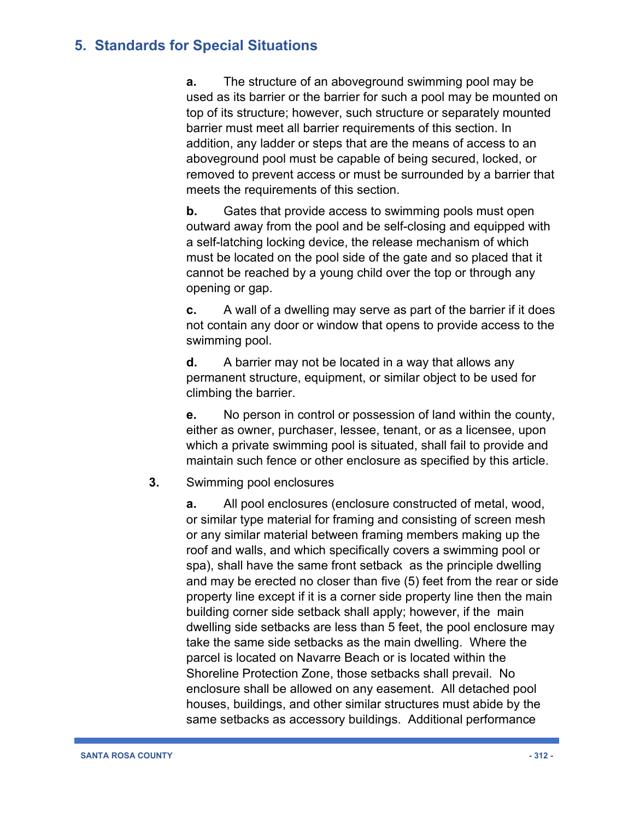**a.** The structure of an aboveground swimming pool may be used as its barrier or the barrier for such a pool may be mounted on top of its structure; however, such structure or separately mounted barrier must meet all barrier requirements of this section. In addition, any ladder or steps that are the means of access to an aboveground pool must be capable of being secured, locked, or removed to prevent access or must be surrounded by a barrier that meets the requirements of this section.

**b.** Gates that provide access to swimming pools must open outward away from the pool and be self-closing and equipped with a self-latching locking device, the release mechanism of which must be located on the pool side of the gate and so placed that it cannot be reached by a young child over the top or through any opening or gap.

**c.** A wall of a dwelling may serve as part of the barrier if it does not contain any door or window that opens to provide access to the swimming pool.

**d.** A barrier may not be located in a way that allows any permanent structure, equipment, or similar object to be used for climbing the barrier.

**e.** No person in control or possession of land within the county, either as owner, purchaser, lessee, tenant, or as a licensee, upon which a private swimming pool is situated, shall fail to provide and maintain such fence or other enclosure as specified by this article.

#### **3.** Swimming pool enclosures

**a.** All pool enclosures (enclosure constructed of metal, wood, or similar type material for framing and consisting of screen mesh or any similar material between framing members making up the roof and walls, and which specifically covers a swimming pool or spa), shall have the same front setback as the principle dwelling and may be erected no closer than five (5) feet from the rear or side property line except if it is a corner side property line then the main building corner side setback shall apply; however, if the main dwelling side setbacks are less than 5 feet, the pool enclosure may take the same side setbacks as the main dwelling. Where the parcel is located on Navarre Beach or is located within the Shoreline Protection Zone, those setbacks shall prevail. No enclosure shall be allowed on any easement. All detached pool houses, buildings, and other similar structures must abide by the same setbacks as accessory buildings. Additional performance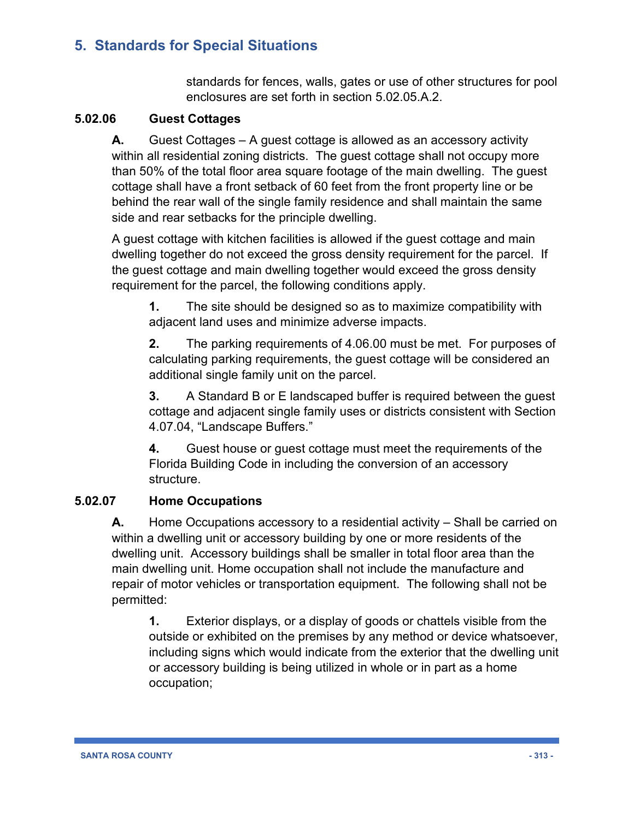standards for fences, walls, gates or use of other structures for pool enclosures are set forth in section 5.02.05.A.2.

#### **5.02.06 Guest Cottages**

**A.** Guest Cottages – A guest cottage is allowed as an accessory activity within all residential zoning districts. The guest cottage shall not occupy more than 50% of the total floor area square footage of the main dwelling. The guest cottage shall have a front setback of 60 feet from the front property line or be behind the rear wall of the single family residence and shall maintain the same side and rear setbacks for the principle dwelling.

A guest cottage with kitchen facilities is allowed if the guest cottage and main dwelling together do not exceed the gross density requirement for the parcel. If the guest cottage and main dwelling together would exceed the gross density requirement for the parcel, the following conditions apply.

**1.** The site should be designed so as to maximize compatibility with adjacent land uses and minimize adverse impacts.

**2.** The parking requirements of 4.06.00 must be met. For purposes of calculating parking requirements, the guest cottage will be considered an additional single family unit on the parcel.

**3.** A Standard B or E landscaped buffer is required between the guest cottage and adjacent single family uses or districts consistent with Section 4.07.04, "Landscape Buffers."

**4.** Guest house or guest cottage must meet the requirements of the Florida Building Code in including the conversion of an accessory structure.

#### **5.02.07 Home Occupations**

**A.** Home Occupations accessory to a residential activity – Shall be carried on within a dwelling unit or accessory building by one or more residents of the dwelling unit. Accessory buildings shall be smaller in total floor area than the main dwelling unit. Home occupation shall not include the manufacture and repair of motor vehicles or transportation equipment. The following shall not be permitted:

**1.** Exterior displays, or a display of goods or chattels visible from the outside or exhibited on the premises by any method or device whatsoever, including signs which would indicate from the exterior that the dwelling unit or accessory building is being utilized in whole or in part as a home occupation;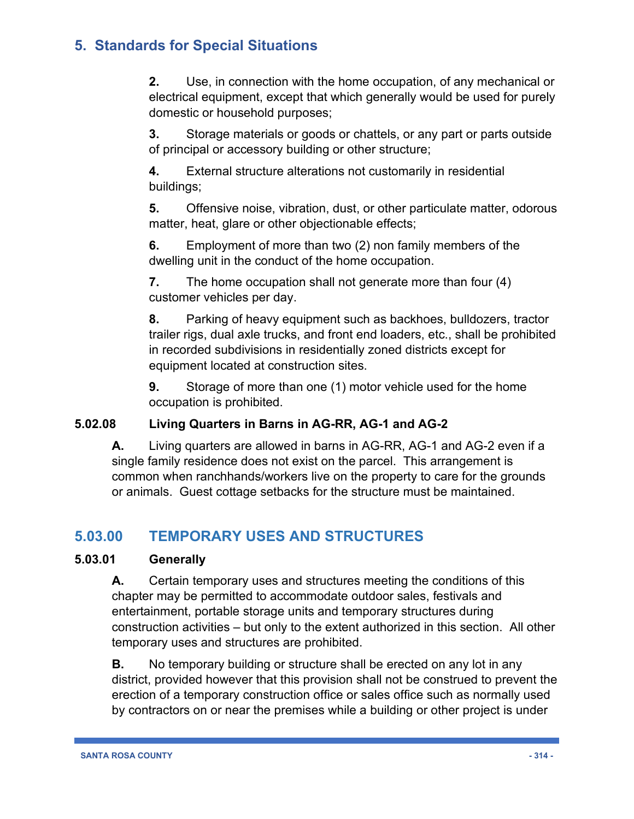**2.** Use, in connection with the home occupation, of any mechanical or electrical equipment, except that which generally would be used for purely domestic or household purposes;

**3.** Storage materials or goods or chattels, or any part or parts outside of principal or accessory building or other structure;

**4.** External structure alterations not customarily in residential buildings;

**5.** Offensive noise, vibration, dust, or other particulate matter, odorous matter, heat, glare or other objectionable effects;

**6.** Employment of more than two (2) non family members of the dwelling unit in the conduct of the home occupation.

**7.** The home occupation shall not generate more than four (4) customer vehicles per day.

**8.** Parking of heavy equipment such as backhoes, bulldozers, tractor trailer rigs, dual axle trucks, and front end loaders, etc., shall be prohibited in recorded subdivisions in residentially zoned districts except for equipment located at construction sites.

**9.** Storage of more than one (1) motor vehicle used for the home occupation is prohibited.

#### **5.02.08 Living Quarters in Barns in AG-RR, AG-1 and AG-2**

**A.** Living quarters are allowed in barns in AG-RR, AG-1 and AG-2 even if a single family residence does not exist on the parcel. This arrangement is common when ranchhands/workers live on the property to care for the grounds or animals. Guest cottage setbacks for the structure must be maintained.

# **5.03.00 TEMPORARY USES AND STRUCTURES**

#### **5.03.01 Generally**

**A.** Certain temporary uses and structures meeting the conditions of this chapter may be permitted to accommodate outdoor sales, festivals and entertainment, portable storage units and temporary structures during construction activities – but only to the extent authorized in this section. All other temporary uses and structures are prohibited.

**B.** No temporary building or structure shall be erected on any lot in any district, provided however that this provision shall not be construed to prevent the erection of a temporary construction office or sales office such as normally used by contractors on or near the premises while a building or other project is under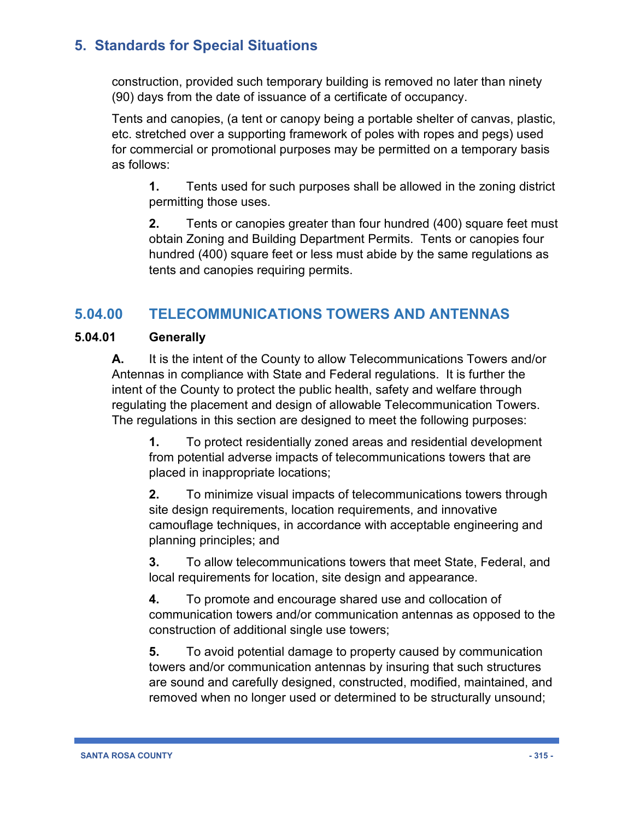construction, provided such temporary building is removed no later than ninety (90) days from the date of issuance of a certificate of occupancy.

Tents and canopies, (a tent or canopy being a portable shelter of canvas, plastic, etc. stretched over a supporting framework of poles with ropes and pegs) used for commercial or promotional purposes may be permitted on a temporary basis as follows:

**1.** Tents used for such purposes shall be allowed in the zoning district permitting those uses.

**2.** Tents or canopies greater than four hundred (400) square feet must obtain Zoning and Building Department Permits. Tents or canopies four hundred (400) square feet or less must abide by the same regulations as tents and canopies requiring permits.

# **5.04.00 TELECOMMUNICATIONS TOWERS AND ANTENNAS**

#### **5.04.01 Generally**

**A.** It is the intent of the County to allow Telecommunications Towers and/or Antennas in compliance with State and Federal regulations. It is further the intent of the County to protect the public health, safety and welfare through regulating the placement and design of allowable Telecommunication Towers. The regulations in this section are designed to meet the following purposes:

**1.** To protect residentially zoned areas and residential development from potential adverse impacts of telecommunications towers that are placed in inappropriate locations;

**2.** To minimize visual impacts of telecommunications towers through site design requirements, location requirements, and innovative camouflage techniques, in accordance with acceptable engineering and planning principles; and

**3.** To allow telecommunications towers that meet State, Federal, and local requirements for location, site design and appearance.

**4.** To promote and encourage shared use and collocation of communication towers and/or communication antennas as opposed to the construction of additional single use towers;

**5.** To avoid potential damage to property caused by communication towers and/or communication antennas by insuring that such structures are sound and carefully designed, constructed, modified, maintained, and removed when no longer used or determined to be structurally unsound;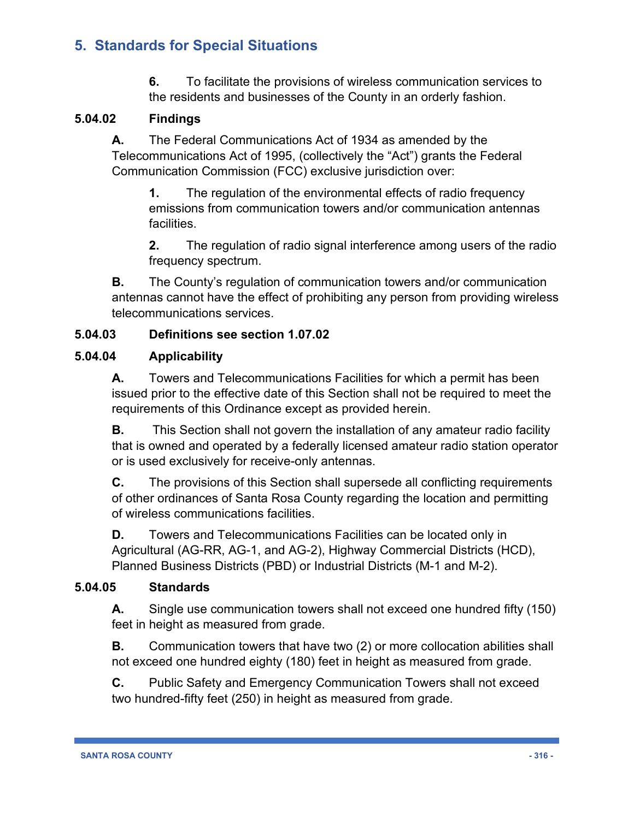**6.** To facilitate the provisions of wireless communication services to the residents and businesses of the County in an orderly fashion.

#### **5.04.02 Findings**

**A.** The Federal Communications Act of 1934 as amended by the Telecommunications Act of 1995, (collectively the "Act") grants the Federal Communication Commission (FCC) exclusive jurisdiction over:

**1.** The regulation of the environmental effects of radio frequency emissions from communication towers and/or communication antennas facilities.

**2.** The regulation of radio signal interference among users of the radio frequency spectrum.

**B.** The County's regulation of communication towers and/or communication antennas cannot have the effect of prohibiting any person from providing wireless telecommunications services.

#### **5.04.03 Definitions see section 1.07.02**

#### **5.04.04 Applicability**

**A.** Towers and Telecommunications Facilities for which a permit has been issued prior to the effective date of this Section shall not be required to meet the requirements of this Ordinance except as provided herein.

**B.** This Section shall not govern the installation of any amateur radio facility that is owned and operated by a federally licensed amateur radio station operator or is used exclusively for receive-only antennas.

**C.** The provisions of this Section shall supersede all conflicting requirements of other ordinances of Santa Rosa County regarding the location and permitting of wireless communications facilities.

**D.** Towers and Telecommunications Facilities can be located only in Agricultural (AG-RR, AG-1, and AG-2), Highway Commercial Districts (HCD), Planned Business Districts (PBD) or Industrial Districts (M-1 and M-2).

#### **5.04.05 Standards**

**A.** Single use communication towers shall not exceed one hundred fifty (150) feet in height as measured from grade.

**B.** Communication towers that have two (2) or more collocation abilities shall not exceed one hundred eighty (180) feet in height as measured from grade.

**C.** Public Safety and Emergency Communication Towers shall not exceed two hundred-fifty feet (250) in height as measured from grade.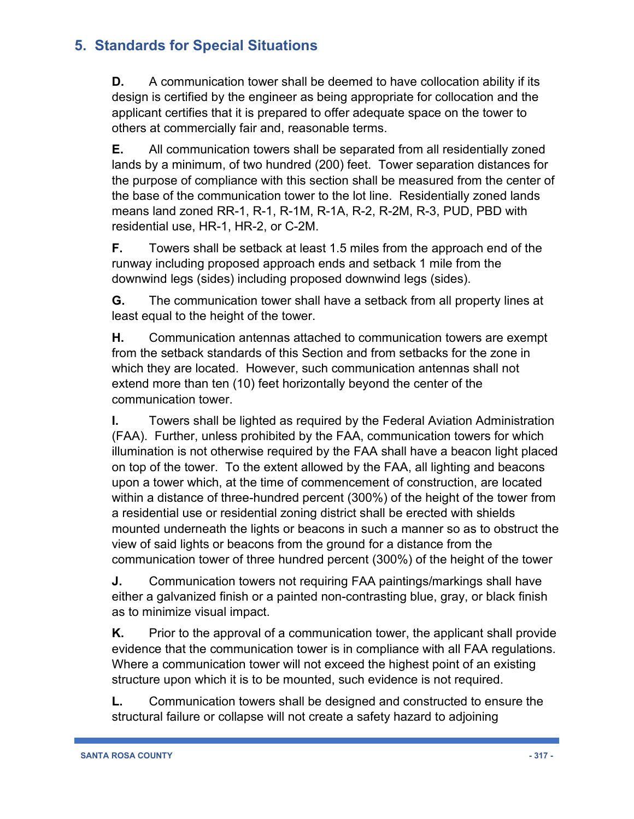**D.** A communication tower shall be deemed to have collocation ability if its design is certified by the engineer as being appropriate for collocation and the applicant certifies that it is prepared to offer adequate space on the tower to others at commercially fair and, reasonable terms.

**E.** All communication towers shall be separated from all residentially zoned lands by a minimum, of two hundred (200) feet. Tower separation distances for the purpose of compliance with this section shall be measured from the center of the base of the communication tower to the lot line. Residentially zoned lands means land zoned RR-1, R-1, R-1M, R-1A, R-2, R-2M, R-3, PUD, PBD with residential use, HR-1, HR-2, or C-2M.

**F.** Towers shall be setback at least 1.5 miles from the approach end of the runway including proposed approach ends and setback 1 mile from the downwind legs (sides) including proposed downwind legs (sides).

**G.** The communication tower shall have a setback from all property lines at least equal to the height of the tower.

**H.** Communication antennas attached to communication towers are exempt from the setback standards of this Section and from setbacks for the zone in which they are located. However, such communication antennas shall not extend more than ten (10) feet horizontally beyond the center of the communication tower.

**I.** Towers shall be lighted as required by the Federal Aviation Administration (FAA). Further, unless prohibited by the FAA, communication towers for which illumination is not otherwise required by the FAA shall have a beacon light placed on top of the tower. To the extent allowed by the FAA, all lighting and beacons upon a tower which, at the time of commencement of construction, are located within a distance of three-hundred percent (300%) of the height of the tower from a residential use or residential zoning district shall be erected with shields mounted underneath the lights or beacons in such a manner so as to obstruct the view of said lights or beacons from the ground for a distance from the communication tower of three hundred percent (300%) of the height of the tower

**J.** Communication towers not requiring FAA paintings/markings shall have either a galvanized finish or a painted non-contrasting blue, gray, or black finish as to minimize visual impact.

**K.** Prior to the approval of a communication tower, the applicant shall provide evidence that the communication tower is in compliance with all FAA regulations. Where a communication tower will not exceed the highest point of an existing structure upon which it is to be mounted, such evidence is not required.

**L.** Communication towers shall be designed and constructed to ensure the structural failure or collapse will not create a safety hazard to adjoining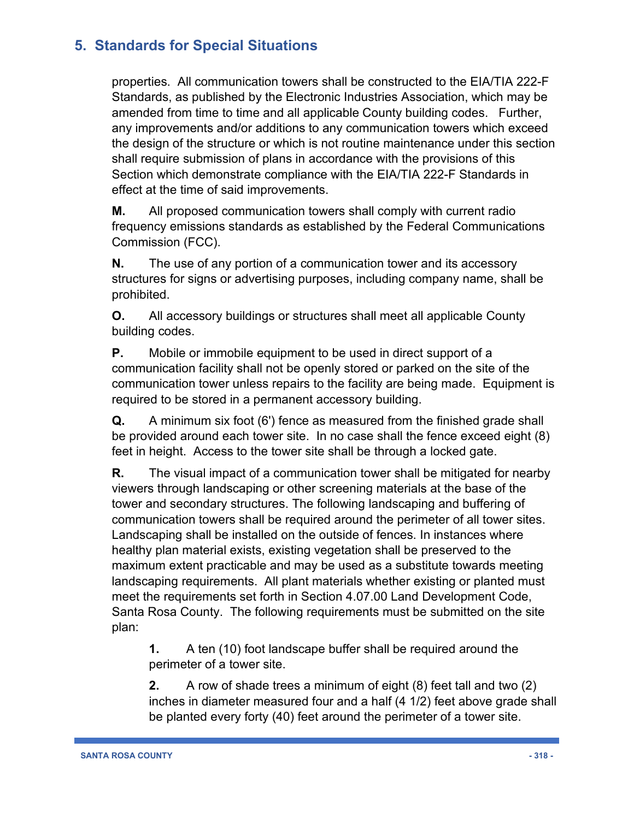properties. All communication towers shall be constructed to the EIA/TIA 222-F Standards, as published by the Electronic Industries Association, which may be amended from time to time and all applicable County building codes. Further, any improvements and/or additions to any communication towers which exceed the design of the structure or which is not routine maintenance under this section shall require submission of plans in accordance with the provisions of this Section which demonstrate compliance with the EIA/TIA 222-F Standards in effect at the time of said improvements.

**M.** All proposed communication towers shall comply with current radio frequency emissions standards as established by the Federal Communications Commission (FCC).

**N.** The use of any portion of a communication tower and its accessory structures for signs or advertising purposes, including company name, shall be prohibited.

**O.** All accessory buildings or structures shall meet all applicable County building codes.

**P.** Mobile or immobile equipment to be used in direct support of a communication facility shall not be openly stored or parked on the site of the communication tower unless repairs to the facility are being made. Equipment is required to be stored in a permanent accessory building.

**Q.** A minimum six foot (6') fence as measured from the finished grade shall be provided around each tower site. In no case shall the fence exceed eight (8) feet in height. Access to the tower site shall be through a locked gate.

**R.** The visual impact of a communication tower shall be mitigated for nearby viewers through landscaping or other screening materials at the base of the tower and secondary structures. The following landscaping and buffering of communication towers shall be required around the perimeter of all tower sites. Landscaping shall be installed on the outside of fences. In instances where healthy plan material exists, existing vegetation shall be preserved to the maximum extent practicable and may be used as a substitute towards meeting landscaping requirements. All plant materials whether existing or planted must meet the requirements set forth in Section 4.07.00 Land Development Code, Santa Rosa County. The following requirements must be submitted on the site plan:

**1.** A ten (10) foot landscape buffer shall be required around the perimeter of a tower site.

**2.** A row of shade trees a minimum of eight (8) feet tall and two (2) inches in diameter measured four and a half (4 1/2) feet above grade shall be planted every forty (40) feet around the perimeter of a tower site.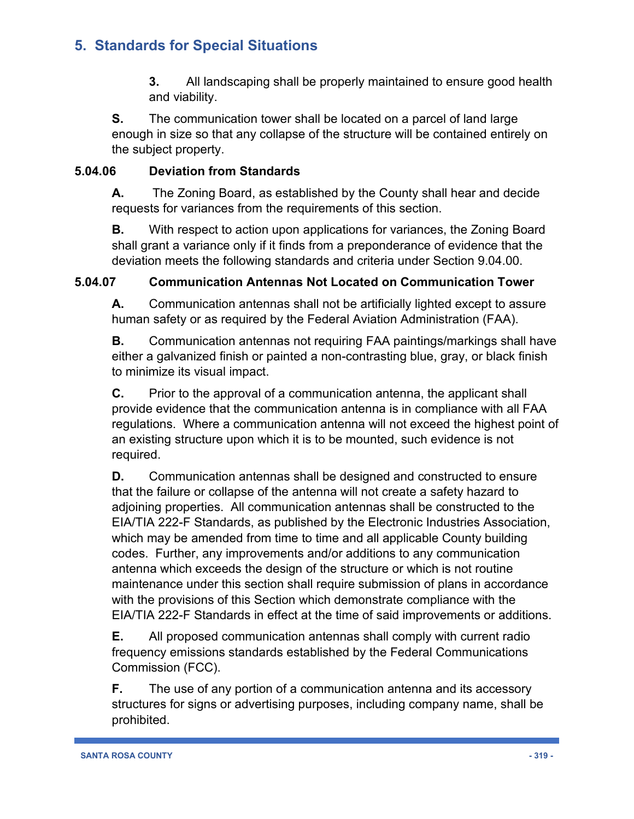**3.** All landscaping shall be properly maintained to ensure good health and viability.

**S.** The communication tower shall be located on a parcel of land large enough in size so that any collapse of the structure will be contained entirely on the subject property.

### **5.04.06 Deviation from Standards**

**A.** The Zoning Board, as established by the County shall hear and decide requests for variances from the requirements of this section.

**B.** With respect to action upon applications for variances, the Zoning Board shall grant a variance only if it finds from a preponderance of evidence that the deviation meets the following standards and criteria under Section 9.04.00.

### **5.04.07 Communication Antennas Not Located on Communication Tower**

**A.** Communication antennas shall not be artificially lighted except to assure human safety or as required by the Federal Aviation Administration (FAA).

**B.** Communication antennas not requiring FAA paintings/markings shall have either a galvanized finish or painted a non-contrasting blue, gray, or black finish to minimize its visual impact.

**C.** Prior to the approval of a communication antenna, the applicant shall provide evidence that the communication antenna is in compliance with all FAA regulations. Where a communication antenna will not exceed the highest point of an existing structure upon which it is to be mounted, such evidence is not required.

**D.** Communication antennas shall be designed and constructed to ensure that the failure or collapse of the antenna will not create a safety hazard to adjoining properties. All communication antennas shall be constructed to the EIA/TIA 222-F Standards, as published by the Electronic Industries Association, which may be amended from time to time and all applicable County building codes. Further, any improvements and/or additions to any communication antenna which exceeds the design of the structure or which is not routine maintenance under this section shall require submission of plans in accordance with the provisions of this Section which demonstrate compliance with the EIA/TIA 222-F Standards in effect at the time of said improvements or additions.

**E.** All proposed communication antennas shall comply with current radio frequency emissions standards established by the Federal Communications Commission (FCC).

**F.** The use of any portion of a communication antenna and its accessory structures for signs or advertising purposes, including company name, shall be prohibited.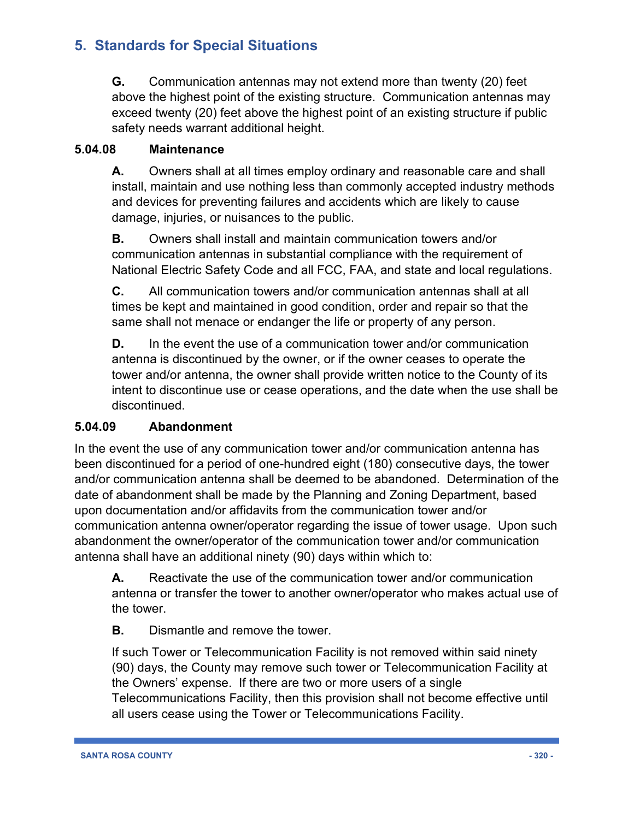**G.** Communication antennas may not extend more than twenty (20) feet above the highest point of the existing structure. Communication antennas may exceed twenty (20) feet above the highest point of an existing structure if public safety needs warrant additional height.

#### **5.04.08 Maintenance**

**A.** Owners shall at all times employ ordinary and reasonable care and shall install, maintain and use nothing less than commonly accepted industry methods and devices for preventing failures and accidents which are likely to cause damage, injuries, or nuisances to the public.

**B.** Owners shall install and maintain communication towers and/or communication antennas in substantial compliance with the requirement of National Electric Safety Code and all FCC, FAA, and state and local regulations.

**C.** All communication towers and/or communication antennas shall at all times be kept and maintained in good condition, order and repair so that the same shall not menace or endanger the life or property of any person.

**D.** In the event the use of a communication tower and/or communication antenna is discontinued by the owner, or if the owner ceases to operate the tower and/or antenna, the owner shall provide written notice to the County of its intent to discontinue use or cease operations, and the date when the use shall be discontinued.

#### **5.04.09 Abandonment**

In the event the use of any communication tower and/or communication antenna has been discontinued for a period of one-hundred eight (180) consecutive days, the tower and/or communication antenna shall be deemed to be abandoned. Determination of the date of abandonment shall be made by the Planning and Zoning Department, based upon documentation and/or affidavits from the communication tower and/or communication antenna owner/operator regarding the issue of tower usage. Upon such abandonment the owner/operator of the communication tower and/or communication antenna shall have an additional ninety (90) days within which to:

**A.** Reactivate the use of the communication tower and/or communication antenna or transfer the tower to another owner/operator who makes actual use of the tower.

**B.** Dismantle and remove the tower.

If such Tower or Telecommunication Facility is not removed within said ninety (90) days, the County may remove such tower or Telecommunication Facility at the Owners' expense. If there are two or more users of a single Telecommunications Facility, then this provision shall not become effective until all users cease using the Tower or Telecommunications Facility.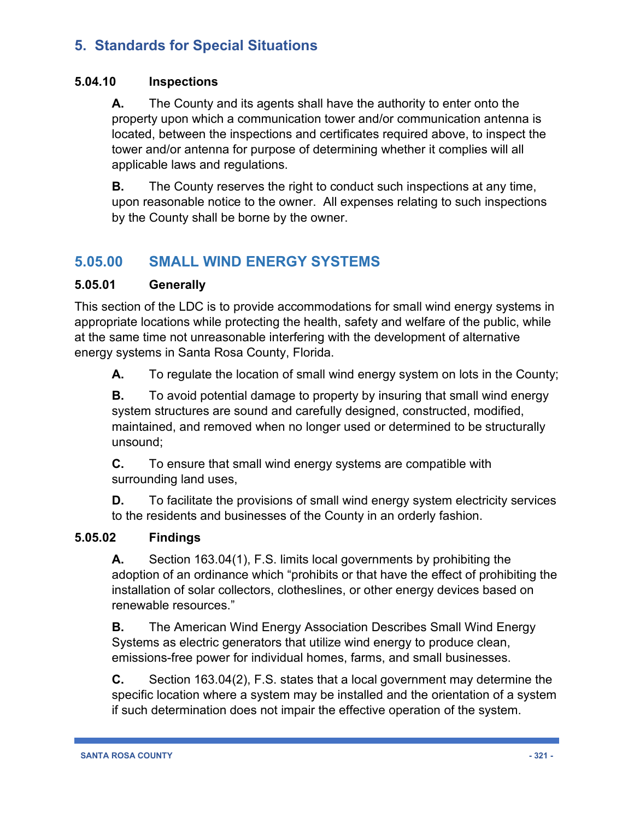#### **5.04.10 Inspections**

**A.** The County and its agents shall have the authority to enter onto the property upon which a communication tower and/or communication antenna is located, between the inspections and certificates required above, to inspect the tower and/or antenna for purpose of determining whether it complies will all applicable laws and regulations.

**B.** The County reserves the right to conduct such inspections at any time, upon reasonable notice to the owner. All expenses relating to such inspections by the County shall be borne by the owner.

# **5.05.00 SMALL WIND ENERGY SYSTEMS**

#### **5.05.01 Generally**

This section of the LDC is to provide accommodations for small wind energy systems in appropriate locations while protecting the health, safety and welfare of the public, while at the same time not unreasonable interfering with the development of alternative energy systems in Santa Rosa County, Florida.

**A.** To regulate the location of small wind energy system on lots in the County;

**B.** To avoid potential damage to property by insuring that small wind energy system structures are sound and carefully designed, constructed, modified, maintained, and removed when no longer used or determined to be structurally unsound;

**C.** To ensure that small wind energy systems are compatible with surrounding land uses,

**D.** To facilitate the provisions of small wind energy system electricity services to the residents and businesses of the County in an orderly fashion.

#### **5.05.02 Findings**

**A.** Section 163.04(1), F.S. limits local governments by prohibiting the adoption of an ordinance which "prohibits or that have the effect of prohibiting the installation of solar collectors, clotheslines, or other energy devices based on renewable resources."

**B.** The American Wind Energy Association Describes Small Wind Energy Systems as electric generators that utilize wind energy to produce clean, emissions-free power for individual homes, farms, and small businesses.

**C.** Section 163.04(2), F.S. states that a local government may determine the specific location where a system may be installed and the orientation of a system if such determination does not impair the effective operation of the system.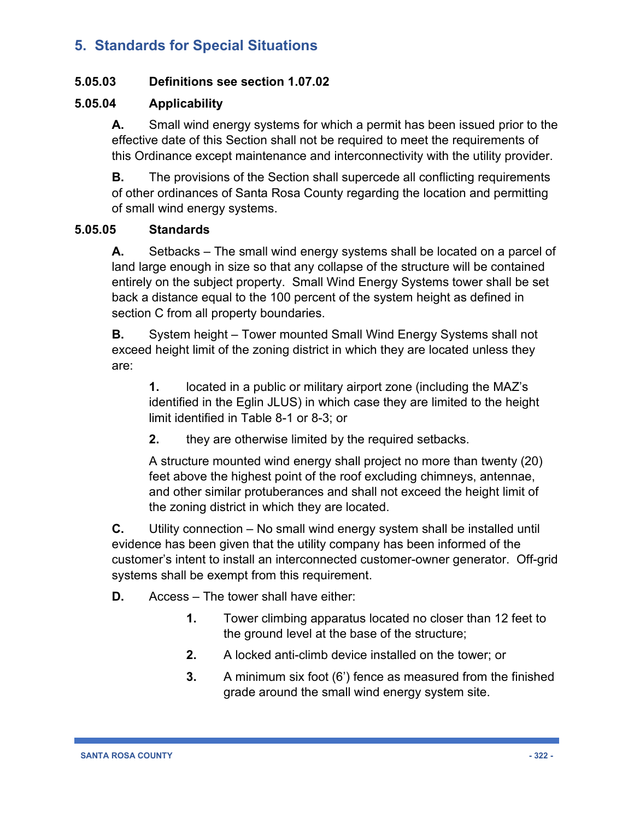#### **5.05.03 Definitions see section 1.07.02**

#### **5.05.04 Applicability**

**A.** Small wind energy systems for which a permit has been issued prior to the effective date of this Section shall not be required to meet the requirements of this Ordinance except maintenance and interconnectivity with the utility provider.

**B.** The provisions of the Section shall supercede all conflicting requirements of other ordinances of Santa Rosa County regarding the location and permitting of small wind energy systems.

#### **5.05.05 Standards**

**A.** Setbacks – The small wind energy systems shall be located on a parcel of land large enough in size so that any collapse of the structure will be contained entirely on the subject property. Small Wind Energy Systems tower shall be set back a distance equal to the 100 percent of the system height as defined in section C from all property boundaries.

**B.** System height – Tower mounted Small Wind Energy Systems shall not exceed height limit of the zoning district in which they are located unless they are:

**1.** located in a public or military airport zone (including the MAZ's identified in the Eglin JLUS) in which case they are limited to the height limit identified in Table 8-1 or 8-3; or

**2.** they are otherwise limited by the required setbacks.

A structure mounted wind energy shall project no more than twenty (20) feet above the highest point of the roof excluding chimneys, antennae, and other similar protuberances and shall not exceed the height limit of the zoning district in which they are located.

**C.** Utility connection – No small wind energy system shall be installed until evidence has been given that the utility company has been informed of the customer's intent to install an interconnected customer-owner generator. Off-grid systems shall be exempt from this requirement.

- **D.** Access The tower shall have either:
	- **1.** Tower climbing apparatus located no closer than 12 feet to the ground level at the base of the structure;
	- **2.** A locked anti-climb device installed on the tower; or
	- **3.** A minimum six foot (6') fence as measured from the finished grade around the small wind energy system site.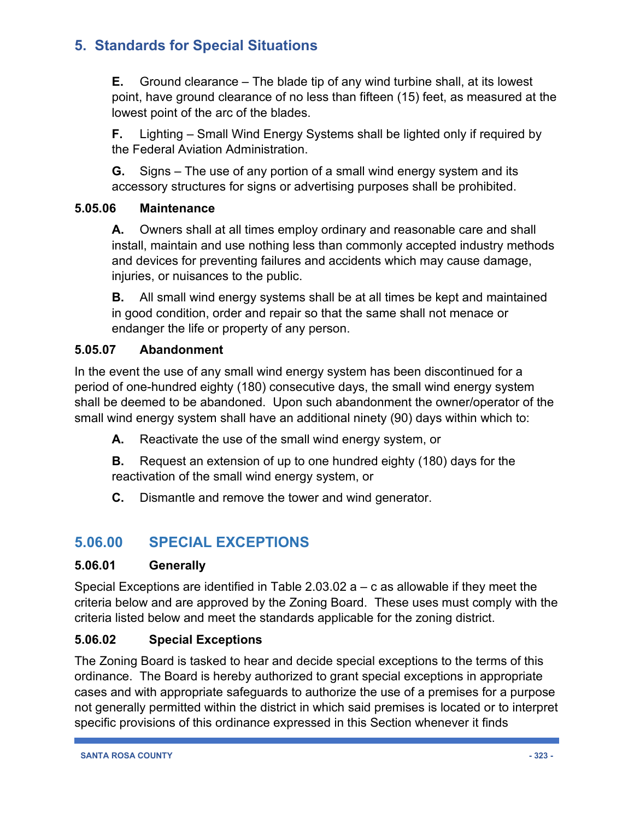**E.** Ground clearance – The blade tip of any wind turbine shall, at its lowest point, have ground clearance of no less than fifteen (15) feet, as measured at the lowest point of the arc of the blades.

**F.** Lighting – Small Wind Energy Systems shall be lighted only if required by the Federal Aviation Administration.

**G.** Signs – The use of any portion of a small wind energy system and its accessory structures for signs or advertising purposes shall be prohibited.

#### **5.05.06 Maintenance**

**A.** Owners shall at all times employ ordinary and reasonable care and shall install, maintain and use nothing less than commonly accepted industry methods and devices for preventing failures and accidents which may cause damage, injuries, or nuisances to the public.

**B.** All small wind energy systems shall be at all times be kept and maintained in good condition, order and repair so that the same shall not menace or endanger the life or property of any person.

#### **5.05.07 Abandonment**

In the event the use of any small wind energy system has been discontinued for a period of one-hundred eighty (180) consecutive days, the small wind energy system shall be deemed to be abandoned. Upon such abandonment the owner/operator of the small wind energy system shall have an additional ninety (90) days within which to:

**A.** Reactivate the use of the small wind energy system, or

**B.** Request an extension of up to one hundred eighty (180) days for the reactivation of the small wind energy system, or

**C.** Dismantle and remove the tower and wind generator.

# **5.06.00 SPECIAL EXCEPTIONS**

#### **5.06.01 Generally**

Special Exceptions are identified in Table 2.03.02 a – c as allowable if they meet the criteria below and are approved by the Zoning Board. These uses must comply with the criteria listed below and meet the standards applicable for the zoning district.

#### **5.06.02 Special Exceptions**

The Zoning Board is tasked to hear and decide special exceptions to the terms of this ordinance. The Board is hereby authorized to grant special exceptions in appropriate cases and with appropriate safeguards to authorize the use of a premises for a purpose not generally permitted within the district in which said premises is located or to interpret specific provisions of this ordinance expressed in this Section whenever it finds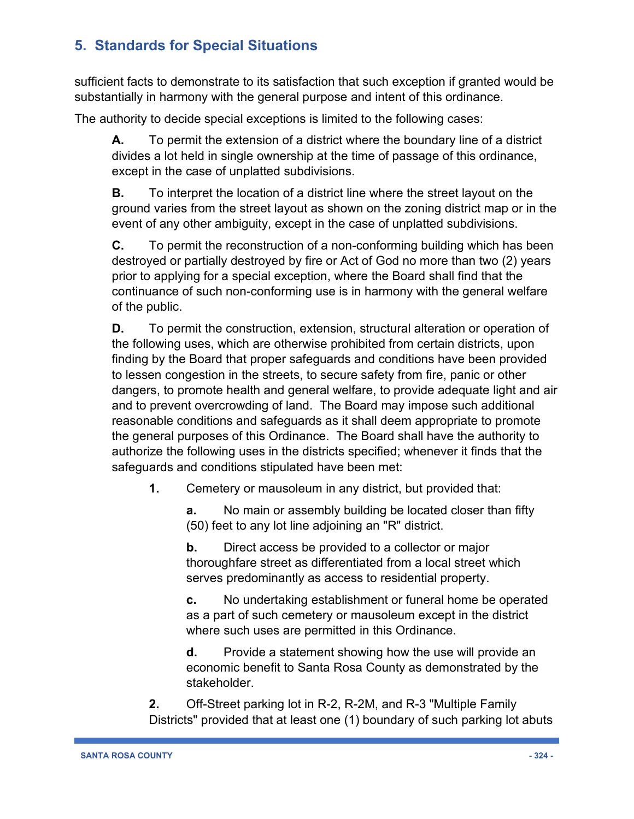sufficient facts to demonstrate to its satisfaction that such exception if granted would be substantially in harmony with the general purpose and intent of this ordinance.

The authority to decide special exceptions is limited to the following cases:

**A.** To permit the extension of a district where the boundary line of a district divides a lot held in single ownership at the time of passage of this ordinance, except in the case of unplatted subdivisions.

**B.** To interpret the location of a district line where the street layout on the ground varies from the street layout as shown on the zoning district map or in the event of any other ambiguity, except in the case of unplatted subdivisions.

**C.** To permit the reconstruction of a non-conforming building which has been destroyed or partially destroyed by fire or Act of God no more than two (2) years prior to applying for a special exception, where the Board shall find that the continuance of such non-conforming use is in harmony with the general welfare of the public.

**D.** To permit the construction, extension, structural alteration or operation of the following uses, which are otherwise prohibited from certain districts, upon finding by the Board that proper safeguards and conditions have been provided to lessen congestion in the streets, to secure safety from fire, panic or other dangers, to promote health and general welfare, to provide adequate light and air and to prevent overcrowding of land. The Board may impose such additional reasonable conditions and safeguards as it shall deem appropriate to promote the general purposes of this Ordinance. The Board shall have the authority to authorize the following uses in the districts specified; whenever it finds that the safeguards and conditions stipulated have been met:

**1.** Cemetery or mausoleum in any district, but provided that:

**a.** No main or assembly building be located closer than fifty (50) feet to any lot line adjoining an "R" district.

**b.** Direct access be provided to a collector or major thoroughfare street as differentiated from a local street which serves predominantly as access to residential property.

**c.** No undertaking establishment or funeral home be operated as a part of such cemetery or mausoleum except in the district where such uses are permitted in this Ordinance.

**d.** Provide a statement showing how the use will provide an economic benefit to Santa Rosa County as demonstrated by the stakeholder.

**2.** Off-Street parking lot in R-2, R-2M, and R-3 "Multiple Family Districts" provided that at least one (1) boundary of such parking lot abuts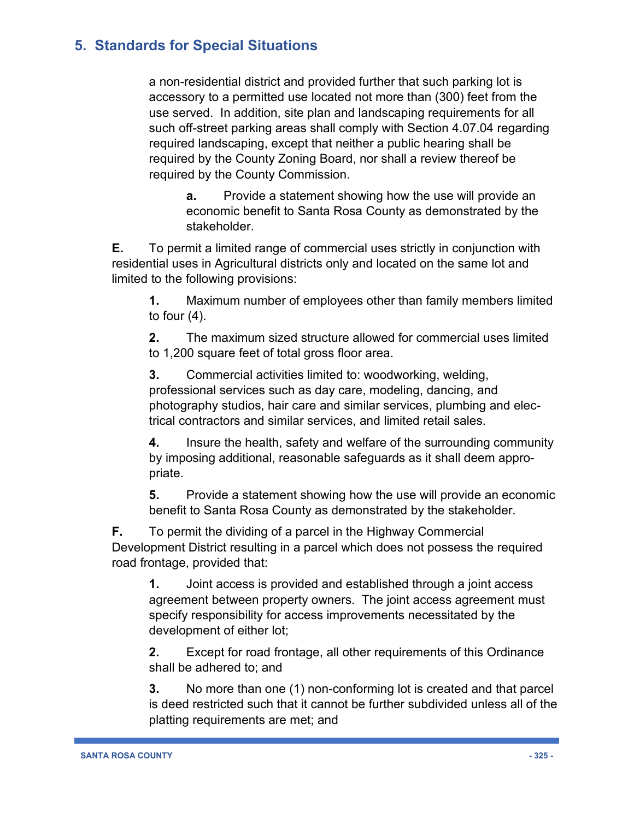a non-residential district and provided further that such parking lot is accessory to a permitted use located not more than (300) feet from the use served. In addition, site plan and landscaping requirements for all such off-street parking areas shall comply with Section 4.07.04 regarding required landscaping, except that neither a public hearing shall be required by the County Zoning Board, nor shall a review thereof be required by the County Commission.

**a.** Provide a statement showing how the use will provide an economic benefit to Santa Rosa County as demonstrated by the stakeholder.

**E.** To permit a limited range of commercial uses strictly in conjunction with residential uses in Agricultural districts only and located on the same lot and limited to the following provisions:

**1.** Maximum number of employees other than family members limited to four (4).

**2.** The maximum sized structure allowed for commercial uses limited to 1,200 square feet of total gross floor area.

**3.** Commercial activities limited to: woodworking, welding, professional services such as day care, modeling, dancing, and photography studios, hair care and similar services, plumbing and electrical contractors and similar services, and limited retail sales.

**4.** Insure the health, safety and welfare of the surrounding community by imposing additional, reasonable safeguards as it shall deem appropriate.

**5.** Provide a statement showing how the use will provide an economic benefit to Santa Rosa County as demonstrated by the stakeholder.

**F.** To permit the dividing of a parcel in the Highway Commercial Development District resulting in a parcel which does not possess the required road frontage, provided that:

**1.** Joint access is provided and established through a joint access agreement between property owners. The joint access agreement must specify responsibility for access improvements necessitated by the development of either lot;

**2.** Except for road frontage, all other requirements of this Ordinance shall be adhered to; and

**3.** No more than one (1) non-conforming lot is created and that parcel is deed restricted such that it cannot be further subdivided unless all of the platting requirements are met; and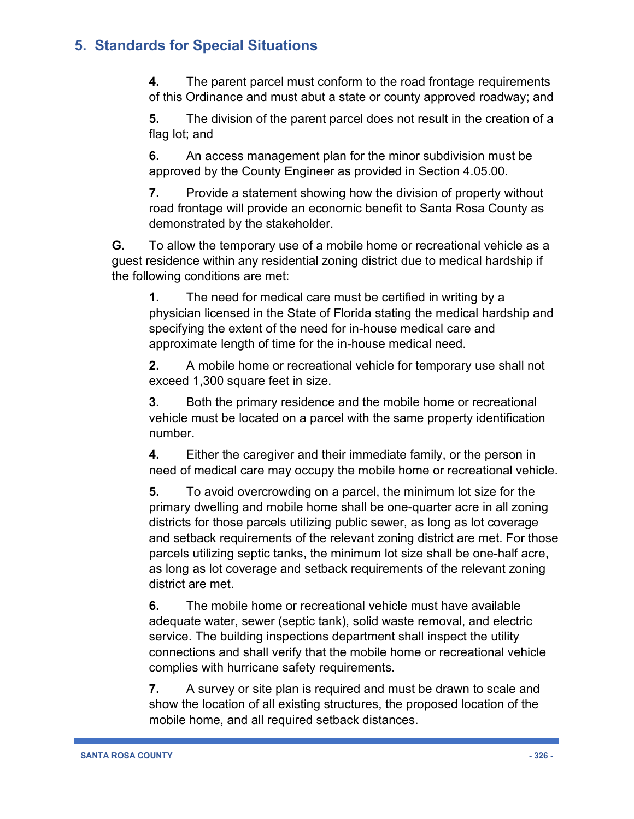**4.** The parent parcel must conform to the road frontage requirements of this Ordinance and must abut a state or county approved roadway; and

**5.** The division of the parent parcel does not result in the creation of a flag lot; and

**6.** An access management plan for the minor subdivision must be approved by the County Engineer as provided in Section 4.05.00.

**7.** Provide a statement showing how the division of property without road frontage will provide an economic benefit to Santa Rosa County as demonstrated by the stakeholder.

**G.** To allow the temporary use of a mobile home or recreational vehicle as a guest residence within any residential zoning district due to medical hardship if the following conditions are met:

**1.** The need for medical care must be certified in writing by a physician licensed in the State of Florida stating the medical hardship and specifying the extent of the need for in-house medical care and approximate length of time for the in-house medical need.

**2.** A mobile home or recreational vehicle for temporary use shall not exceed 1,300 square feet in size.

**3.** Both the primary residence and the mobile home or recreational vehicle must be located on a parcel with the same property identification number.

**4.** Either the caregiver and their immediate family, or the person in need of medical care may occupy the mobile home or recreational vehicle.

**5.** To avoid overcrowding on a parcel, the minimum lot size for the primary dwelling and mobile home shall be one-quarter acre in all zoning districts for those parcels utilizing public sewer, as long as lot coverage and setback requirements of the relevant zoning district are met. For those parcels utilizing septic tanks, the minimum lot size shall be one-half acre, as long as lot coverage and setback requirements of the relevant zoning district are met.

**6.** The mobile home or recreational vehicle must have available adequate water, sewer (septic tank), solid waste removal, and electric service. The building inspections department shall inspect the utility connections and shall verify that the mobile home or recreational vehicle complies with hurricane safety requirements.

**7.** A survey or site plan is required and must be drawn to scale and show the location of all existing structures, the proposed location of the mobile home, and all required setback distances.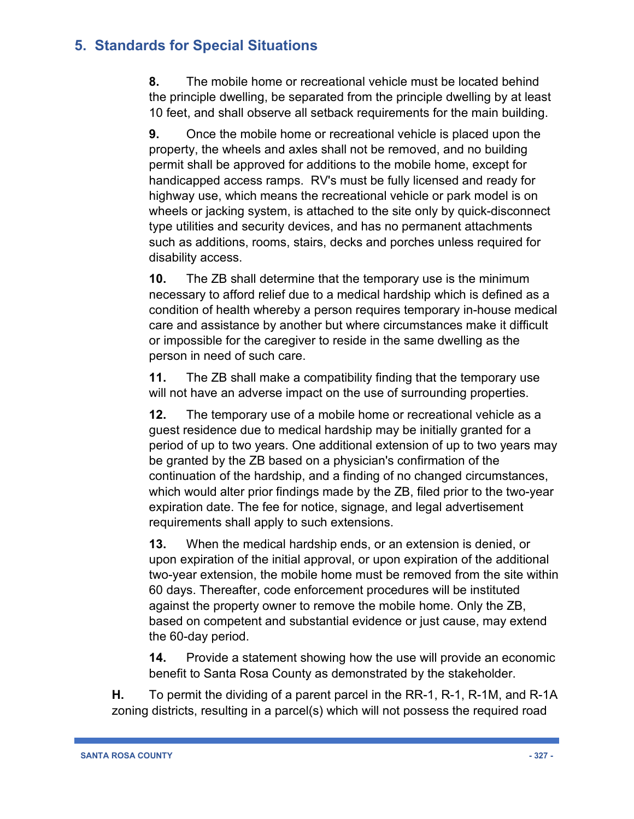**8.** The mobile home or recreational vehicle must be located behind the principle dwelling, be separated from the principle dwelling by at least 10 feet, and shall observe all setback requirements for the main building.

**9.** Once the mobile home or recreational vehicle is placed upon the property, the wheels and axles shall not be removed, and no building permit shall be approved for additions to the mobile home, except for handicapped access ramps. RV's must be fully licensed and ready for highway use, which means the recreational vehicle or park model is on wheels or jacking system, is attached to the site only by quick-disconnect type utilities and security devices, and has no permanent attachments such as additions, rooms, stairs, decks and porches unless required for disability access.

**10.** The ZB shall determine that the temporary use is the minimum necessary to afford relief due to a medical hardship which is defined as a condition of health whereby a person requires temporary in-house medical care and assistance by another but where circumstances make it difficult or impossible for the caregiver to reside in the same dwelling as the person in need of such care.

**11.** The ZB shall make a compatibility finding that the temporary use will not have an adverse impact on the use of surrounding properties.

**12.** The temporary use of a mobile home or recreational vehicle as a guest residence due to medical hardship may be initially granted for a period of up to two years. One additional extension of up to two years may be granted by the ZB based on a physician's confirmation of the continuation of the hardship, and a finding of no changed circumstances, which would alter prior findings made by the ZB, filed prior to the two-year expiration date. The fee for notice, signage, and legal advertisement requirements shall apply to such extensions.

**13.** When the medical hardship ends, or an extension is denied, or upon expiration of the initial approval, or upon expiration of the additional two-year extension, the mobile home must be removed from the site within 60 days. Thereafter, code enforcement procedures will be instituted against the property owner to remove the mobile home. Only the ZB, based on competent and substantial evidence or just cause, may extend the 60-day period.

**14.** Provide a statement showing how the use will provide an economic benefit to Santa Rosa County as demonstrated by the stakeholder.

**H.** To permit the dividing of a parent parcel in the RR-1, R-1, R-1M, and R-1A zoning districts, resulting in a parcel(s) which will not possess the required road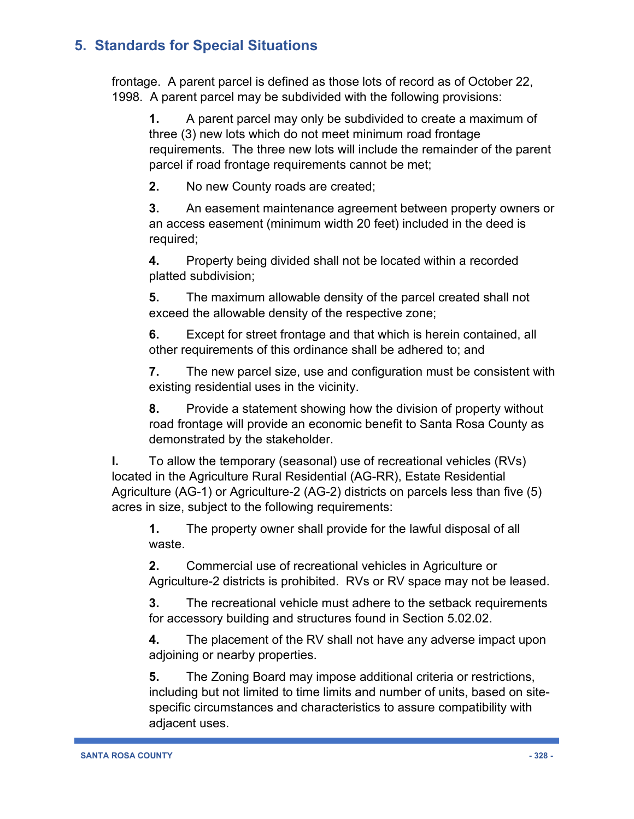frontage. A parent parcel is defined as those lots of record as of October 22, 1998. A parent parcel may be subdivided with the following provisions:

**1.** A parent parcel may only be subdivided to create a maximum of three (3) new lots which do not meet minimum road frontage requirements. The three new lots will include the remainder of the parent parcel if road frontage requirements cannot be met;

**2.** No new County roads are created;

**3.** An easement maintenance agreement between property owners or an access easement (minimum width 20 feet) included in the deed is required;

**4.** Property being divided shall not be located within a recorded platted subdivision;

**5.** The maximum allowable density of the parcel created shall not exceed the allowable density of the respective zone;

**6.** Except for street frontage and that which is herein contained, all other requirements of this ordinance shall be adhered to; and

**7.** The new parcel size, use and configuration must be consistent with existing residential uses in the vicinity.

**8.** Provide a statement showing how the division of property without road frontage will provide an economic benefit to Santa Rosa County as demonstrated by the stakeholder.

**I.** To allow the temporary (seasonal) use of recreational vehicles (RVs) located in the Agriculture Rural Residential (AG-RR), Estate Residential Agriculture (AG-1) or Agriculture-2 (AG-2) districts on parcels less than five (5) acres in size, subject to the following requirements:

**1.** The property owner shall provide for the lawful disposal of all waste.

**2.** Commercial use of recreational vehicles in Agriculture or Agriculture-2 districts is prohibited. RVs or RV space may not be leased.

**3.** The recreational vehicle must adhere to the setback requirements for accessory building and structures found in Section 5.02.02.

**4.** The placement of the RV shall not have any adverse impact upon adjoining or nearby properties.

**5.** The Zoning Board may impose additional criteria or restrictions, including but not limited to time limits and number of units, based on sitespecific circumstances and characteristics to assure compatibility with adjacent uses.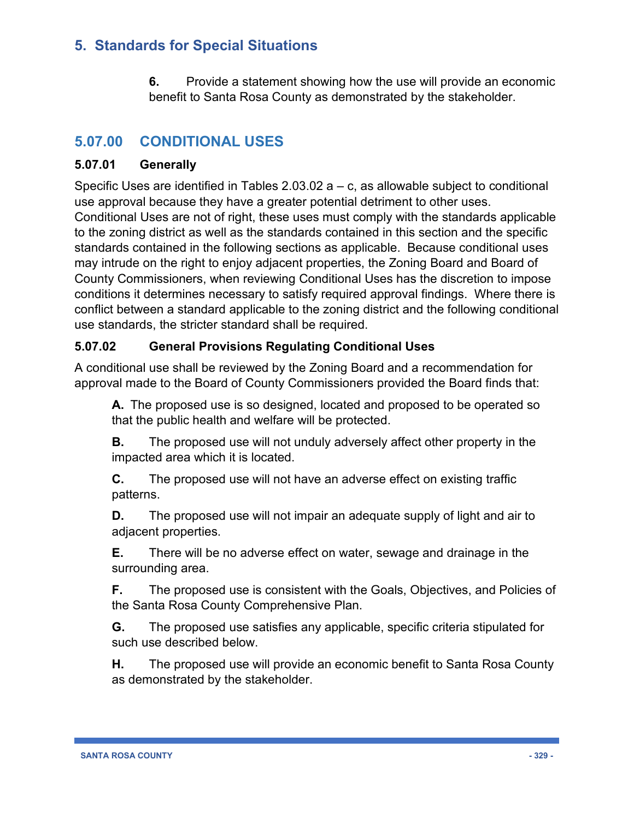**6.** Provide a statement showing how the use will provide an economic benefit to Santa Rosa County as demonstrated by the stakeholder.

# **5.07.00 CONDITIONAL USES**

#### **5.07.01 Generally**

Specific Uses are identified in Tables  $2.03.02$  a – c, as allowable subject to conditional use approval because they have a greater potential detriment to other uses. Conditional Uses are not of right, these uses must comply with the standards applicable to the zoning district as well as the standards contained in this section and the specific standards contained in the following sections as applicable. Because conditional uses may intrude on the right to enjoy adjacent properties, the Zoning Board and Board of County Commissioners, when reviewing Conditional Uses has the discretion to impose conditions it determines necessary to satisfy required approval findings. Where there is conflict between a standard applicable to the zoning district and the following conditional use standards, the stricter standard shall be required.

#### **5.07.02 General Provisions Regulating Conditional Uses**

A conditional use shall be reviewed by the Zoning Board and a recommendation for approval made to the Board of County Commissioners provided the Board finds that:

**A.** The proposed use is so designed, located and proposed to be operated so that the public health and welfare will be protected.

**B.** The proposed use will not unduly adversely affect other property in the impacted area which it is located.

**C.** The proposed use will not have an adverse effect on existing traffic patterns.

**D.** The proposed use will not impair an adequate supply of light and air to adjacent properties.

**E.** There will be no adverse effect on water, sewage and drainage in the surrounding area.

**F.** The proposed use is consistent with the Goals, Objectives, and Policies of the Santa Rosa County Comprehensive Plan.

**G.** The proposed use satisfies any applicable, specific criteria stipulated for such use described below.

**H.** The proposed use will provide an economic benefit to Santa Rosa County as demonstrated by the stakeholder.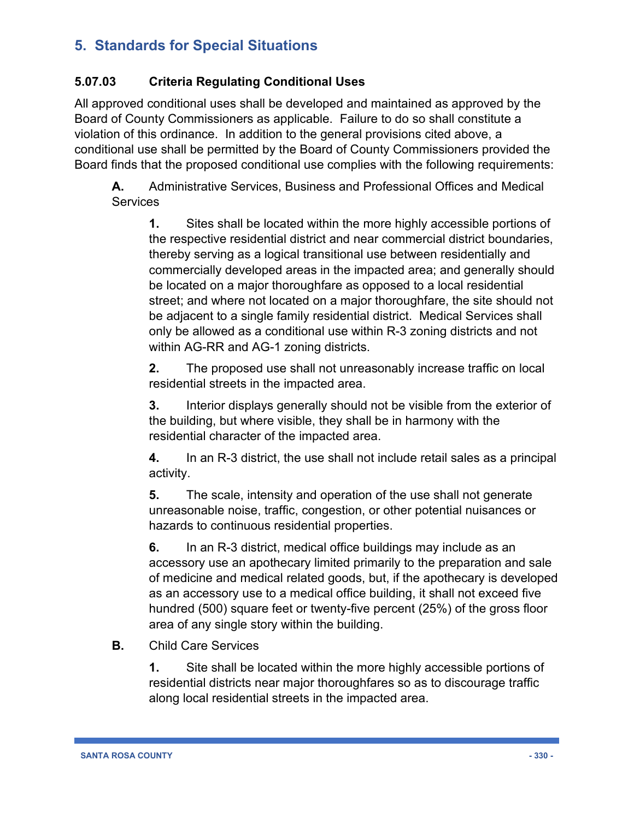#### **5.07.03 Criteria Regulating Conditional Uses**

All approved conditional uses shall be developed and maintained as approved by the Board of County Commissioners as applicable. Failure to do so shall constitute a violation of this ordinance. In addition to the general provisions cited above, a conditional use shall be permitted by the Board of County Commissioners provided the Board finds that the proposed conditional use complies with the following requirements:

**A.** Administrative Services, Business and Professional Offices and Medical **Services** 

**1.** Sites shall be located within the more highly accessible portions of the respective residential district and near commercial district boundaries, thereby serving as a logical transitional use between residentially and commercially developed areas in the impacted area; and generally should be located on a major thoroughfare as opposed to a local residential street; and where not located on a major thoroughfare, the site should not be adjacent to a single family residential district. Medical Services shall only be allowed as a conditional use within R-3 zoning districts and not within AG-RR and AG-1 zoning districts.

**2.** The proposed use shall not unreasonably increase traffic on local residential streets in the impacted area.

**3.** Interior displays generally should not be visible from the exterior of the building, but where visible, they shall be in harmony with the residential character of the impacted area.

**4.** In an R-3 district, the use shall not include retail sales as a principal activity.

**5.** The scale, intensity and operation of the use shall not generate unreasonable noise, traffic, congestion, or other potential nuisances or hazards to continuous residential properties.

**6.** In an R-3 district, medical office buildings may include as an accessory use an apothecary limited primarily to the preparation and sale of medicine and medical related goods, but, if the apothecary is developed as an accessory use to a medical office building, it shall not exceed five hundred (500) square feet or twenty-five percent (25%) of the gross floor area of any single story within the building.

**B.** Child Care Services

**1.** Site shall be located within the more highly accessible portions of residential districts near major thoroughfares so as to discourage traffic along local residential streets in the impacted area.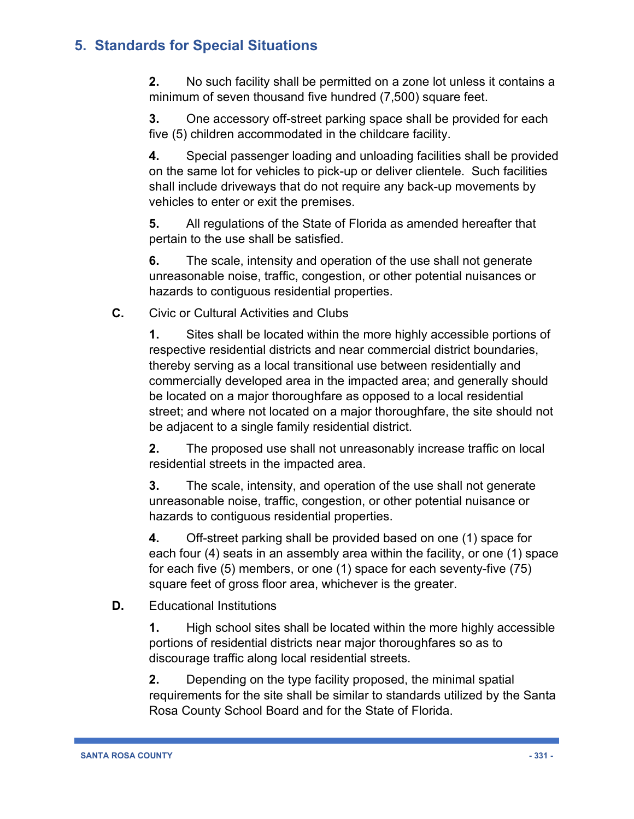**2.** No such facility shall be permitted on a zone lot unless it contains a minimum of seven thousand five hundred (7,500) square feet.

**3.** One accessory off-street parking space shall be provided for each five (5) children accommodated in the childcare facility.

**4.** Special passenger loading and unloading facilities shall be provided on the same lot for vehicles to pick-up or deliver clientele. Such facilities shall include driveways that do not require any back-up movements by vehicles to enter or exit the premises.

**5.** All regulations of the State of Florida as amended hereafter that pertain to the use shall be satisfied.

**6.** The scale, intensity and operation of the use shall not generate unreasonable noise, traffic, congestion, or other potential nuisances or hazards to contiguous residential properties.

**C.** Civic or Cultural Activities and Clubs

**1.** Sites shall be located within the more highly accessible portions of respective residential districts and near commercial district boundaries, thereby serving as a local transitional use between residentially and commercially developed area in the impacted area; and generally should be located on a major thoroughfare as opposed to a local residential street; and where not located on a major thoroughfare, the site should not be adjacent to a single family residential district.

**2.** The proposed use shall not unreasonably increase traffic on local residential streets in the impacted area.

**3.** The scale, intensity, and operation of the use shall not generate unreasonable noise, traffic, congestion, or other potential nuisance or hazards to contiguous residential properties.

**4.** Off-street parking shall be provided based on one (1) space for each four (4) seats in an assembly area within the facility, or one (1) space for each five (5) members, or one (1) space for each seventy-five (75) square feet of gross floor area, whichever is the greater.

**D.** Educational Institutions

**1.** High school sites shall be located within the more highly accessible portions of residential districts near major thoroughfares so as to discourage traffic along local residential streets.

**2.** Depending on the type facility proposed, the minimal spatial requirements for the site shall be similar to standards utilized by the Santa Rosa County School Board and for the State of Florida.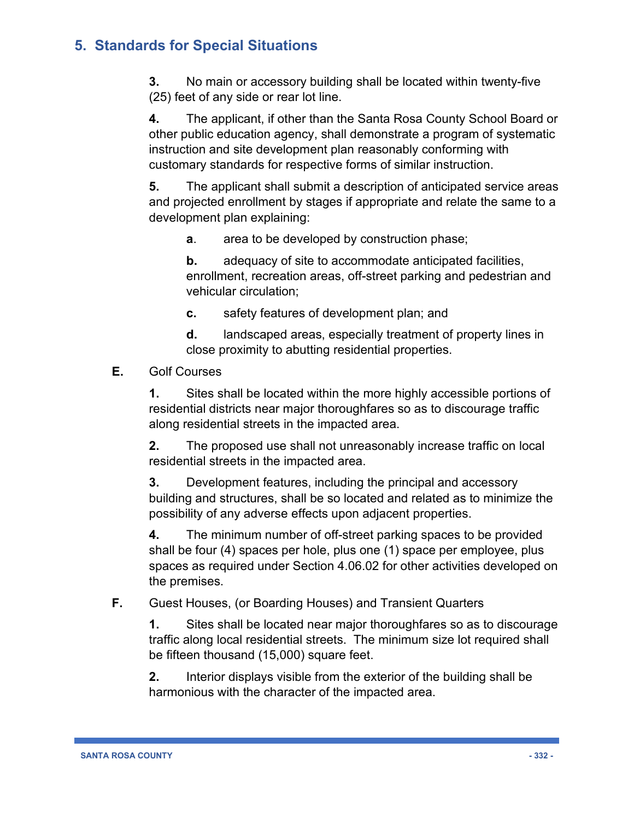**3.** No main or accessory building shall be located within twenty-five (25) feet of any side or rear lot line.

**4.** The applicant, if other than the Santa Rosa County School Board or other public education agency, shall demonstrate a program of systematic instruction and site development plan reasonably conforming with customary standards for respective forms of similar instruction.

**5.** The applicant shall submit a description of anticipated service areas and projected enrollment by stages if appropriate and relate the same to a development plan explaining:

**a**. area to be developed by construction phase;

**b.** adequacy of site to accommodate anticipated facilities, enrollment, recreation areas, off-street parking and pedestrian and vehicular circulation;

**c.** safety features of development plan; and

**d.** landscaped areas, especially treatment of property lines in close proximity to abutting residential properties.

#### **E.** Golf Courses

**1.** Sites shall be located within the more highly accessible portions of residential districts near major thoroughfares so as to discourage traffic along residential streets in the impacted area.

**2.** The proposed use shall not unreasonably increase traffic on local residential streets in the impacted area.

**3.** Development features, including the principal and accessory building and structures, shall be so located and related as to minimize the possibility of any adverse effects upon adjacent properties.

**4.** The minimum number of off-street parking spaces to be provided shall be four (4) spaces per hole, plus one (1) space per employee, plus spaces as required under Section 4.06.02 for other activities developed on the premises.

#### **F.** Guest Houses, (or Boarding Houses) and Transient Quarters

**1.** Sites shall be located near major thoroughfares so as to discourage traffic along local residential streets. The minimum size lot required shall be fifteen thousand (15,000) square feet.

**2.** Interior displays visible from the exterior of the building shall be harmonious with the character of the impacted area.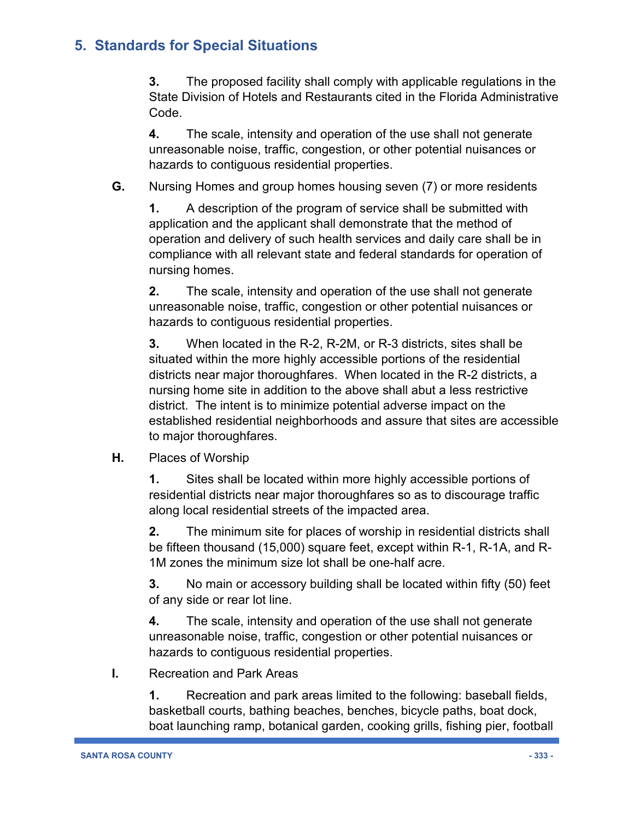**3.** The proposed facility shall comply with applicable regulations in the State Division of Hotels and Restaurants cited in the Florida Administrative Code.

**4.** The scale, intensity and operation of the use shall not generate unreasonable noise, traffic, congestion, or other potential nuisances or hazards to contiguous residential properties.

**G.** Nursing Homes and group homes housing seven (7) or more residents

**1.** A description of the program of service shall be submitted with application and the applicant shall demonstrate that the method of operation and delivery of such health services and daily care shall be in compliance with all relevant state and federal standards for operation of nursing homes.

**2.** The scale, intensity and operation of the use shall not generate unreasonable noise, traffic, congestion or other potential nuisances or hazards to contiguous residential properties.

**3.** When located in the R-2, R-2M, or R-3 districts, sites shall be situated within the more highly accessible portions of the residential districts near major thoroughfares. When located in the R-2 districts, a nursing home site in addition to the above shall abut a less restrictive district. The intent is to minimize potential adverse impact on the established residential neighborhoods and assure that sites are accessible to major thoroughfares.

**H.** Places of Worship

**1.** Sites shall be located within more highly accessible portions of residential districts near major thoroughfares so as to discourage traffic along local residential streets of the impacted area.

**2.** The minimum site for places of worship in residential districts shall be fifteen thousand (15,000) square feet, except within R-1, R-1A, and R-1M zones the minimum size lot shall be one-half acre.

**3.** No main or accessory building shall be located within fifty (50) feet of any side or rear lot line.

**4.** The scale, intensity and operation of the use shall not generate unreasonable noise, traffic, congestion or other potential nuisances or hazards to contiguous residential properties.

**I.** Recreation and Park Areas

**1.** Recreation and park areas limited to the following: baseball fields, basketball courts, bathing beaches, benches, bicycle paths, boat dock, boat launching ramp, botanical garden, cooking grills, fishing pier, football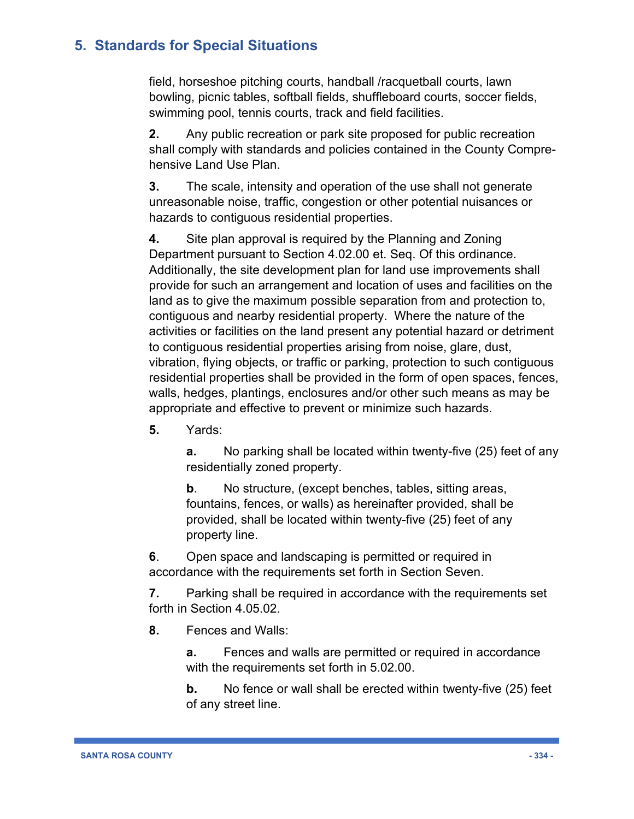field, horseshoe pitching courts, handball /racquetball courts, lawn bowling, picnic tables, softball fields, shuffleboard courts, soccer fields, swimming pool, tennis courts, track and field facilities.

**2.** Any public recreation or park site proposed for public recreation shall comply with standards and policies contained in the County Comprehensive Land Use Plan.

**3.** The scale, intensity and operation of the use shall not generate unreasonable noise, traffic, congestion or other potential nuisances or hazards to contiguous residential properties.

**4.** Site plan approval is required by the Planning and Zoning Department pursuant to Section 4.02.00 et. Seq. Of this ordinance. Additionally, the site development plan for land use improvements shall provide for such an arrangement and location of uses and facilities on the land as to give the maximum possible separation from and protection to, contiguous and nearby residential property. Where the nature of the activities or facilities on the land present any potential hazard or detriment to contiguous residential properties arising from noise, glare, dust, vibration, flying objects, or traffic or parking, protection to such contiguous residential properties shall be provided in the form of open spaces, fences, walls, hedges, plantings, enclosures and/or other such means as may be appropriate and effective to prevent or minimize such hazards.

**5.** Yards:

**a.** No parking shall be located within twenty-five (25) feet of any residentially zoned property.

**b**. No structure, (except benches, tables, sitting areas, fountains, fences, or walls) as hereinafter provided, shall be provided, shall be located within twenty-five (25) feet of any property line.

**6**. Open space and landscaping is permitted or required in accordance with the requirements set forth in Section Seven.

**7.** Parking shall be required in accordance with the requirements set forth in Section 4.05.02.

**8.** Fences and Walls:

**a.** Fences and walls are permitted or required in accordance with the requirements set forth in 5.02.00.

**b.** No fence or wall shall be erected within twenty-five (25) feet of any street line.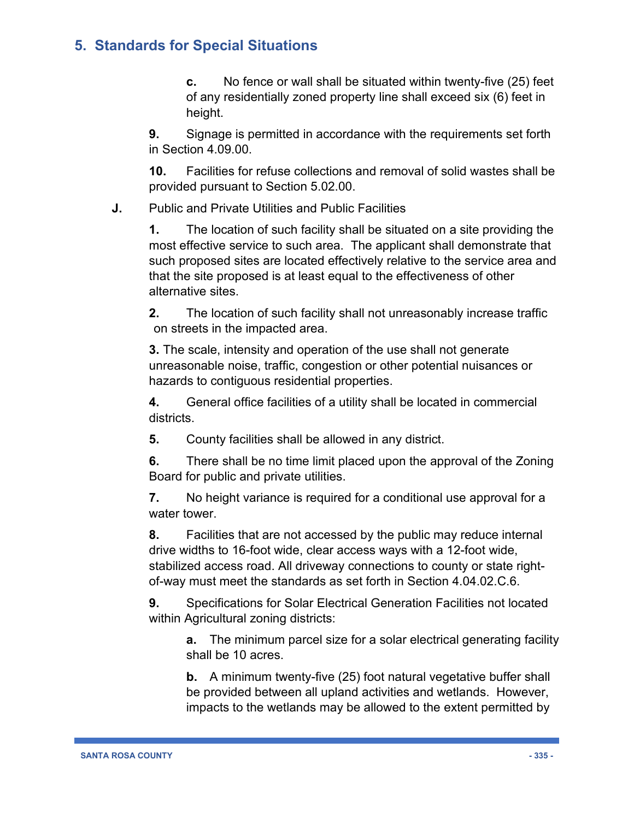**c.** No fence or wall shall be situated within twenty-five (25) feet of any residentially zoned property line shall exceed six (6) feet in height.

**9.** Signage is permitted in accordance with the requirements set forth in Section 4.09.00.

**10.** Facilities for refuse collections and removal of solid wastes shall be provided pursuant to Section 5.02.00.

**J.** Public and Private Utilities and Public Facilities

**1.** The location of such facility shall be situated on a site providing the most effective service to such area. The applicant shall demonstrate that such proposed sites are located effectively relative to the service area and that the site proposed is at least equal to the effectiveness of other alternative sites.

**2.** The location of such facility shall not unreasonably increase traffic on streets in the impacted area.

**3.** The scale, intensity and operation of the use shall not generate unreasonable noise, traffic, congestion or other potential nuisances or hazards to contiguous residential properties.

**4.** General office facilities of a utility shall be located in commercial districts.

**5.** County facilities shall be allowed in any district.

**6.** There shall be no time limit placed upon the approval of the Zoning Board for public and private utilities.

**7.** No height variance is required for a conditional use approval for a water tower.

**8.** Facilities that are not accessed by the public may reduce internal drive widths to 16-foot wide, clear access ways with a 12-foot wide, stabilized access road. All driveway connections to county or state rightof-way must meet the standards as set forth in Section 4.04.02.C.6.

**9.** Specifications for Solar Electrical Generation Facilities not located within Agricultural zoning districts:

**a.** The minimum parcel size for a solar electrical generating facility shall be 10 acres.

**b.** A minimum twenty-five (25) foot natural vegetative buffer shall be provided between all upland activities and wetlands. However, impacts to the wetlands may be allowed to the extent permitted by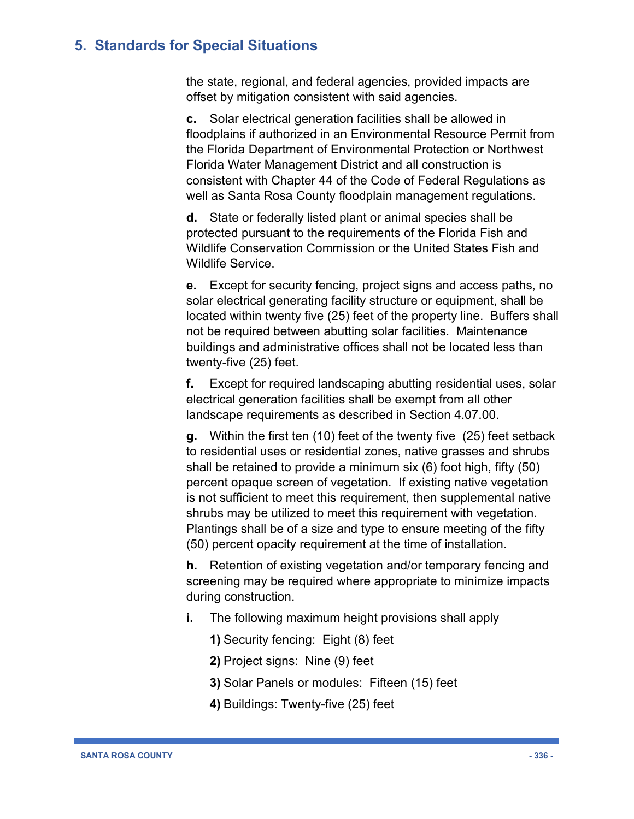the state, regional, and federal agencies, provided impacts are offset by mitigation consistent with said agencies.

**c.** Solar electrical generation facilities shall be allowed in floodplains if authorized in an Environmental Resource Permit from the Florida Department of Environmental Protection or Northwest Florida Water Management District and all construction is consistent with Chapter 44 of the Code of Federal Regulations as well as Santa Rosa County floodplain management regulations.

**d.** State or federally listed plant or animal species shall be protected pursuant to the requirements of the Florida Fish and Wildlife Conservation Commission or the United States Fish and Wildlife Service.

**e.** Except for security fencing, project signs and access paths, no solar electrical generating facility structure or equipment, shall be located within twenty five (25) feet of the property line. Buffers shall not be required between abutting solar facilities. Maintenance buildings and administrative offices shall not be located less than twenty-five (25) feet.

**f.** Except for required landscaping abutting residential uses, solar electrical generation facilities shall be exempt from all other landscape requirements as described in Section 4.07.00.

**g.** Within the first ten (10) feet of the twenty five (25) feet setback to residential uses or residential zones, native grasses and shrubs shall be retained to provide a minimum six (6) foot high, fifty (50) percent opaque screen of vegetation. If existing native vegetation is not sufficient to meet this requirement, then supplemental native shrubs may be utilized to meet this requirement with vegetation. Plantings shall be of a size and type to ensure meeting of the fifty (50) percent opacity requirement at the time of installation.

**h.** Retention of existing vegetation and/or temporary fencing and screening may be required where appropriate to minimize impacts during construction.

- **i.** The following maximum height provisions shall apply
	- **1)** Security fencing: Eight (8) feet
	- **2)** Project signs: Nine (9) feet
	- **3)** Solar Panels or modules: Fifteen (15) feet
	- **4)** Buildings: Twenty-five (25) feet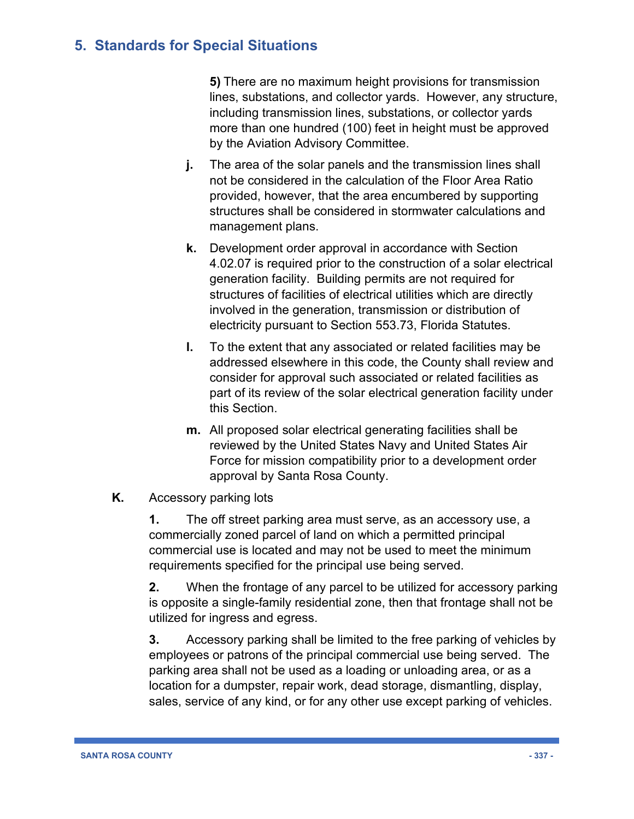**5)** There are no maximum height provisions for transmission lines, substations, and collector yards. However, any structure, including transmission lines, substations, or collector yards more than one hundred (100) feet in height must be approved by the Aviation Advisory Committee.

- **j.** The area of the solar panels and the transmission lines shall not be considered in the calculation of the Floor Area Ratio provided, however, that the area encumbered by supporting structures shall be considered in stormwater calculations and management plans.
- **k.** Development order approval in accordance with Section 4.02.07 is required prior to the construction of a solar electrical generation facility. Building permits are not required for structures of facilities of electrical utilities which are directly involved in the generation, transmission or distribution of electricity pursuant to Section 553.73, Florida Statutes.
- **l.** To the extent that any associated or related facilities may be addressed elsewhere in this code, the County shall review and consider for approval such associated or related facilities as part of its review of the solar electrical generation facility under this Section.
- **m.** All proposed solar electrical generating facilities shall be reviewed by the United States Navy and United States Air Force for mission compatibility prior to a development order approval by Santa Rosa County.
- **K.** Accessory parking lots

**1.** The off street parking area must serve, as an accessory use, a commercially zoned parcel of land on which a permitted principal commercial use is located and may not be used to meet the minimum requirements specified for the principal use being served.

**2.** When the frontage of any parcel to be utilized for accessory parking is opposite a single-family residential zone, then that frontage shall not be utilized for ingress and egress.

**3.** Accessory parking shall be limited to the free parking of vehicles by employees or patrons of the principal commercial use being served. The parking area shall not be used as a loading or unloading area, or as a location for a dumpster, repair work, dead storage, dismantling, display, sales, service of any kind, or for any other use except parking of vehicles.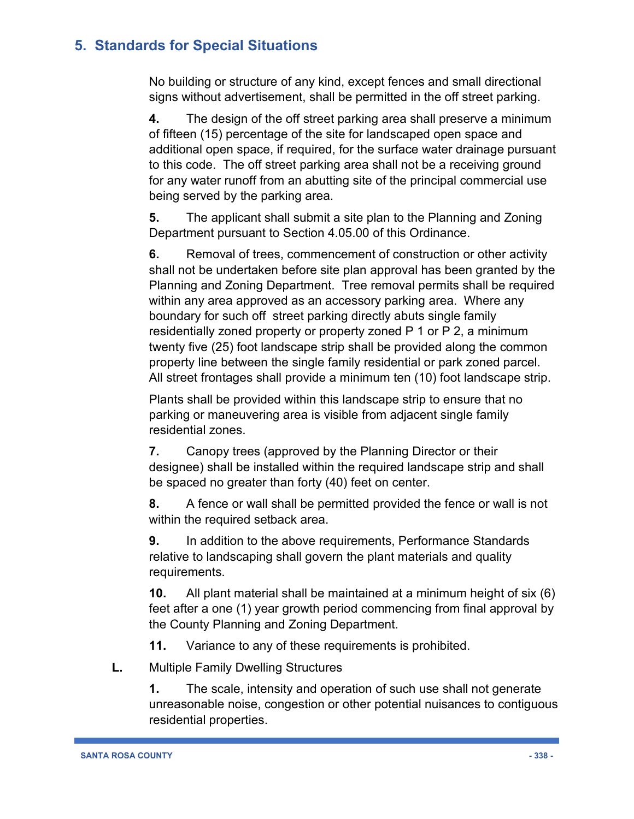No building or structure of any kind, except fences and small directional signs without advertisement, shall be permitted in the off street parking.

**4.** The design of the off street parking area shall preserve a minimum of fifteen (15) percentage of the site for landscaped open space and additional open space, if required, for the surface water drainage pursuant to this code. The off street parking area shall not be a receiving ground for any water runoff from an abutting site of the principal commercial use being served by the parking area.

**5.** The applicant shall submit a site plan to the Planning and Zoning Department pursuant to Section 4.05.00 of this Ordinance.

**6.** Removal of trees, commencement of construction or other activity shall not be undertaken before site plan approval has been granted by the Planning and Zoning Department. Tree removal permits shall be required within any area approved as an accessory parking area. Where any boundary for such off street parking directly abuts single family residentially zoned property or property zoned P 1 or P 2, a minimum twenty five (25) foot landscape strip shall be provided along the common property line between the single family residential or park zoned parcel. All street frontages shall provide a minimum ten (10) foot landscape strip.

Plants shall be provided within this landscape strip to ensure that no parking or maneuvering area is visible from adjacent single family residential zones.

**7.** Canopy trees (approved by the Planning Director or their designee) shall be installed within the required landscape strip and shall be spaced no greater than forty (40) feet on center.

**8.** A fence or wall shall be permitted provided the fence or wall is not within the required setback area.

**9.** In addition to the above requirements, Performance Standards relative to landscaping shall govern the plant materials and quality requirements.

**10.** All plant material shall be maintained at a minimum height of six (6) feet after a one (1) year growth period commencing from final approval by the County Planning and Zoning Department.

**11.** Variance to any of these requirements is prohibited.

**L.** Multiple Family Dwelling Structures

**1.** The scale, intensity and operation of such use shall not generate unreasonable noise, congestion or other potential nuisances to contiguous residential properties.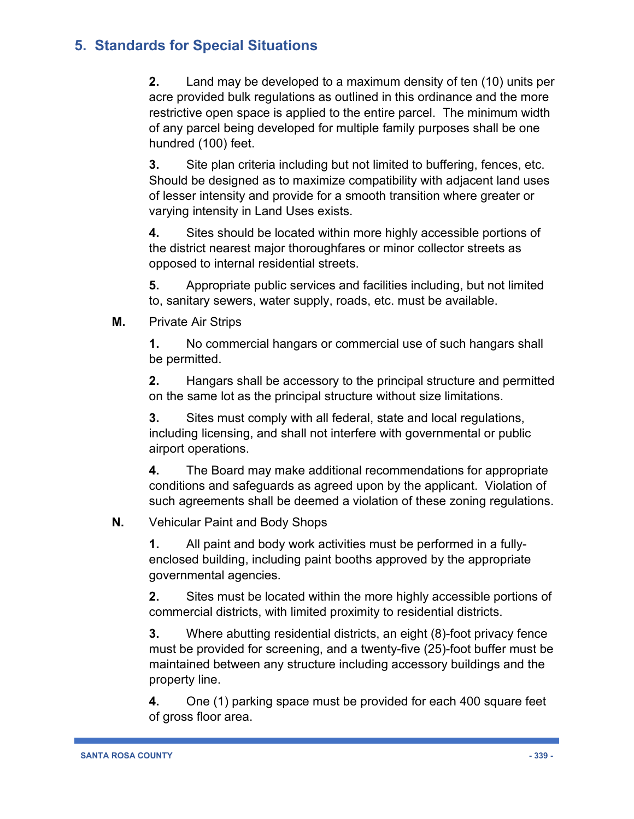**2.** Land may be developed to a maximum density of ten (10) units per acre provided bulk regulations as outlined in this ordinance and the more restrictive open space is applied to the entire parcel. The minimum width of any parcel being developed for multiple family purposes shall be one hundred (100) feet.

**3.** Site plan criteria including but not limited to buffering, fences, etc. Should be designed as to maximize compatibility with adjacent land uses of lesser intensity and provide for a smooth transition where greater or varying intensity in Land Uses exists.

**4.** Sites should be located within more highly accessible portions of the district nearest major thoroughfares or minor collector streets as opposed to internal residential streets.

**5.** Appropriate public services and facilities including, but not limited to, sanitary sewers, water supply, roads, etc. must be available.

**M.** Private Air Strips

**1.** No commercial hangars or commercial use of such hangars shall be permitted.

**2.** Hangars shall be accessory to the principal structure and permitted on the same lot as the principal structure without size limitations.

**3.** Sites must comply with all federal, state and local regulations, including licensing, and shall not interfere with governmental or public airport operations.

**4.** The Board may make additional recommendations for appropriate conditions and safeguards as agreed upon by the applicant. Violation of such agreements shall be deemed a violation of these zoning regulations.

#### **N.** Vehicular Paint and Body Shops

**1.** All paint and body work activities must be performed in a fullyenclosed building, including paint booths approved by the appropriate governmental agencies.

**2.** Sites must be located within the more highly accessible portions of commercial districts, with limited proximity to residential districts.

**3.** Where abutting residential districts, an eight (8)-foot privacy fence must be provided for screening, and a twenty-five (25)-foot buffer must be maintained between any structure including accessory buildings and the property line.

**4.** One (1) parking space must be provided for each 400 square feet of gross floor area.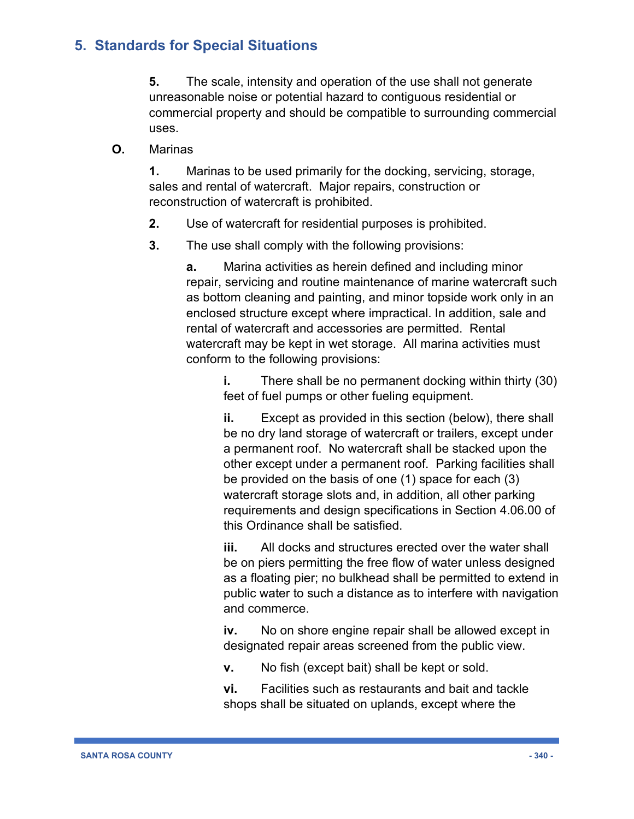**5.** The scale, intensity and operation of the use shall not generate unreasonable noise or potential hazard to contiguous residential or commercial property and should be compatible to surrounding commercial uses.

**O.** Marinas

**1.** Marinas to be used primarily for the docking, servicing, storage, sales and rental of watercraft. Major repairs, construction or reconstruction of watercraft is prohibited.

- **2.** Use of watercraft for residential purposes is prohibited.
- **3.** The use shall comply with the following provisions:

**a.** Marina activities as herein defined and including minor repair, servicing and routine maintenance of marine watercraft such as bottom cleaning and painting, and minor topside work only in an enclosed structure except where impractical. In addition, sale and rental of watercraft and accessories are permitted. Rental watercraft may be kept in wet storage. All marina activities must conform to the following provisions:

**i.** There shall be no permanent docking within thirty (30) feet of fuel pumps or other fueling equipment.

**ii.** Except as provided in this section (below), there shall be no dry land storage of watercraft or trailers, except under a permanent roof. No watercraft shall be stacked upon the other except under a permanent roof. Parking facilities shall be provided on the basis of one (1) space for each (3) watercraft storage slots and, in addition, all other parking requirements and design specifications in Section 4.06.00 of this Ordinance shall be satisfied.

**iii.** All docks and structures erected over the water shall be on piers permitting the free flow of water unless designed as a floating pier; no bulkhead shall be permitted to extend in public water to such a distance as to interfere with navigation and commerce.

**iv.** No on shore engine repair shall be allowed except in designated repair areas screened from the public view.

**v.** No fish (except bait) shall be kept or sold.

**vi.** Facilities such as restaurants and bait and tackle shops shall be situated on uplands, except where the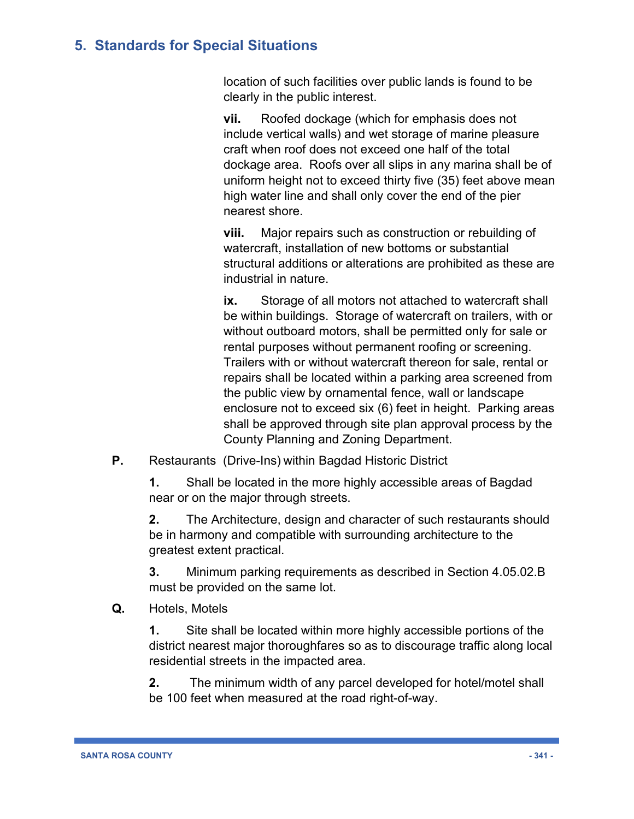location of such facilities over public lands is found to be clearly in the public interest.

**vii.** Roofed dockage (which for emphasis does not include vertical walls) and wet storage of marine pleasure craft when roof does not exceed one half of the total dockage area. Roofs over all slips in any marina shall be of uniform height not to exceed thirty five (35) feet above mean high water line and shall only cover the end of the pier nearest shore.

**viii.** Major repairs such as construction or rebuilding of watercraft, installation of new bottoms or substantial structural additions or alterations are prohibited as these are industrial in nature.

**ix.** Storage of all motors not attached to watercraft shall be within buildings. Storage of watercraft on trailers, with or without outboard motors, shall be permitted only for sale or rental purposes without permanent roofing or screening. Trailers with or without watercraft thereon for sale, rental or repairs shall be located within a parking area screened from the public view by ornamental fence, wall or landscape enclosure not to exceed six (6) feet in height. Parking areas shall be approved through site plan approval process by the County Planning and Zoning Department.

**P.** Restaurants (Drive-Ins) within Bagdad Historic District

**1.** Shall be located in the more highly accessible areas of Bagdad near or on the major through streets.

**2.** The Architecture, design and character of such restaurants should be in harmony and compatible with surrounding architecture to the greatest extent practical.

**3.** Minimum parking requirements as described in Section 4.05.02.B must be provided on the same lot.

**Q.** Hotels, Motels

**1.** Site shall be located within more highly accessible portions of the district nearest major thoroughfares so as to discourage traffic along local residential streets in the impacted area.

**2.** The minimum width of any parcel developed for hotel/motel shall be 100 feet when measured at the road right-of-way.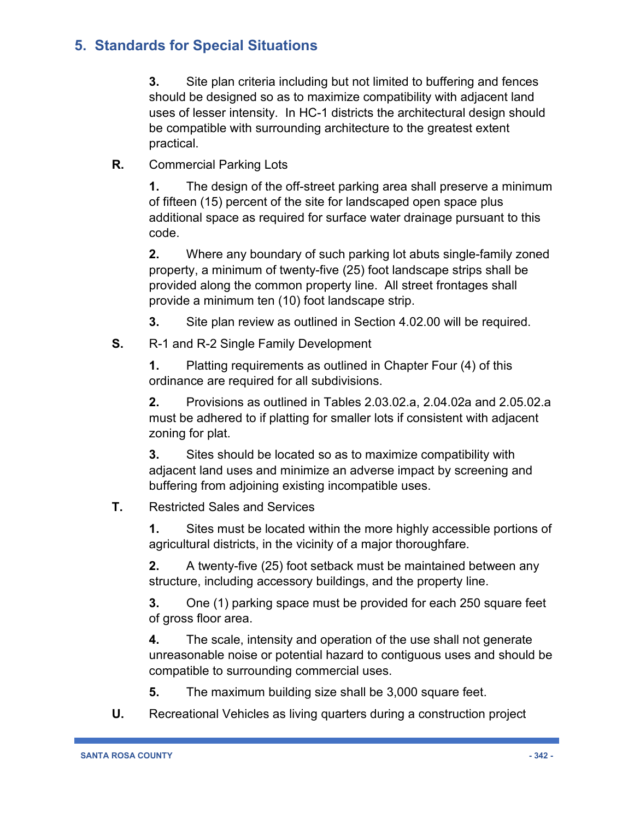**3.** Site plan criteria including but not limited to buffering and fences should be designed so as to maximize compatibility with adjacent land uses of lesser intensity. In HC-1 districts the architectural design should be compatible with surrounding architecture to the greatest extent practical.

**R.** Commercial Parking Lots

**1.** The design of the off-street parking area shall preserve a minimum of fifteen (15) percent of the site for landscaped open space plus additional space as required for surface water drainage pursuant to this code.

**2.** Where any boundary of such parking lot abuts single-family zoned property, a minimum of twenty-five (25) foot landscape strips shall be provided along the common property line. All street frontages shall provide a minimum ten (10) foot landscape strip.

**3.** Site plan review as outlined in Section 4.02.00 will be required.

**S.** R-1 and R-2 Single Family Development

**1.** Platting requirements as outlined in Chapter Four (4) of this ordinance are required for all subdivisions.

**2.** Provisions as outlined in Tables 2.03.02.a, 2.04.02a and 2.05.02.a must be adhered to if platting for smaller lots if consistent with adjacent zoning for plat.

**3.** Sites should be located so as to maximize compatibility with adjacent land uses and minimize an adverse impact by screening and buffering from adjoining existing incompatible uses.

#### **T.** Restricted Sales and Services

**1.** Sites must be located within the more highly accessible portions of agricultural districts, in the vicinity of a major thoroughfare.

**2.** A twenty-five (25) foot setback must be maintained between any structure, including accessory buildings, and the property line.

**3.** One (1) parking space must be provided for each 250 square feet of gross floor area.

**4.** The scale, intensity and operation of the use shall not generate unreasonable noise or potential hazard to contiguous uses and should be compatible to surrounding commercial uses.

**5.** The maximum building size shall be 3,000 square feet.

**U.** Recreational Vehicles as living quarters during a construction project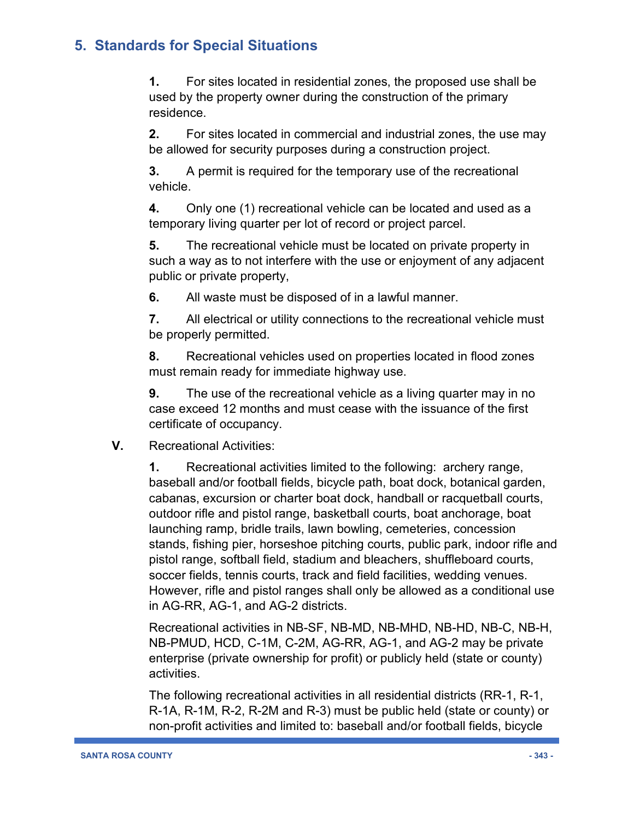**1.** For sites located in residential zones, the proposed use shall be used by the property owner during the construction of the primary residence.

**2.** For sites located in commercial and industrial zones, the use may be allowed for security purposes during a construction project.

**3.** A permit is required for the temporary use of the recreational vehicle.

**4.** Only one (1) recreational vehicle can be located and used as a temporary living quarter per lot of record or project parcel.

**5.** The recreational vehicle must be located on private property in such a way as to not interfere with the use or enjoyment of any adjacent public or private property,

**6.** All waste must be disposed of in a lawful manner.

**7.** All electrical or utility connections to the recreational vehicle must be properly permitted.

**8.** Recreational vehicles used on properties located in flood zones must remain ready for immediate highway use.

**9.** The use of the recreational vehicle as a living quarter may in no case exceed 12 months and must cease with the issuance of the first certificate of occupancy.

**V.** Recreational Activities:

**1.** Recreational activities limited to the following: archery range, baseball and/or football fields, bicycle path, boat dock, botanical garden, cabanas, excursion or charter boat dock, handball or racquetball courts, outdoor rifle and pistol range, basketball courts, boat anchorage, boat launching ramp, bridle trails, lawn bowling, cemeteries, concession stands, fishing pier, horseshoe pitching courts, public park, indoor rifle and pistol range, softball field, stadium and bleachers, shuffleboard courts, soccer fields, tennis courts, track and field facilities, wedding venues. However, rifle and pistol ranges shall only be allowed as a conditional use in AG-RR, AG-1, and AG-2 districts.

Recreational activities in NB-SF, NB-MD, NB-MHD, NB-HD, NB-C, NB-H, NB-PMUD, HCD, C-1M, C-2M, AG-RR, AG-1, and AG-2 may be private enterprise (private ownership for profit) or publicly held (state or county) activities.

The following recreational activities in all residential districts (RR-1, R-1, R-1A, R-1M, R-2, R-2M and R-3) must be public held (state or county) or non-profit activities and limited to: baseball and/or football fields, bicycle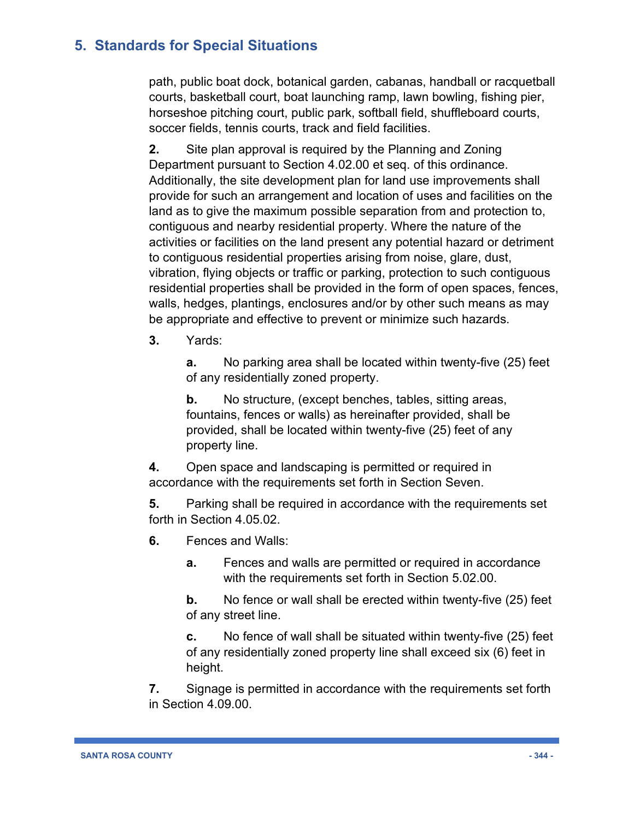path, public boat dock, botanical garden, cabanas, handball or racquetball courts, basketball court, boat launching ramp, lawn bowling, fishing pier, horseshoe pitching court, public park, softball field, shuffleboard courts, soccer fields, tennis courts, track and field facilities.

**2.** Site plan approval is required by the Planning and Zoning Department pursuant to Section 4.02.00 et seq. of this ordinance. Additionally, the site development plan for land use improvements shall provide for such an arrangement and location of uses and facilities on the land as to give the maximum possible separation from and protection to, contiguous and nearby residential property. Where the nature of the activities or facilities on the land present any potential hazard or detriment to contiguous residential properties arising from noise, glare, dust, vibration, flying objects or traffic or parking, protection to such contiguous residential properties shall be provided in the form of open spaces, fences, walls, hedges, plantings, enclosures and/or by other such means as may be appropriate and effective to prevent or minimize such hazards.

**3.** Yards:

**a.** No parking area shall be located within twenty-five (25) feet of any residentially zoned property.

**b.** No structure, (except benches, tables, sitting areas, fountains, fences or walls) as hereinafter provided, shall be provided, shall be located within twenty-five (25) feet of any property line.

**4.** Open space and landscaping is permitted or required in accordance with the requirements set forth in Section Seven.

**5.** Parking shall be required in accordance with the requirements set forth in Section 4.05.02.

**6.** Fences and Walls:

**a.** Fences and walls are permitted or required in accordance with the requirements set forth in Section 5.02.00.

**b.** No fence or wall shall be erected within twenty-five (25) feet of any street line.

**c.** No fence of wall shall be situated within twenty-five (25) feet of any residentially zoned property line shall exceed six (6) feet in height.

**7.** Signage is permitted in accordance with the requirements set forth in Section 4.09.00.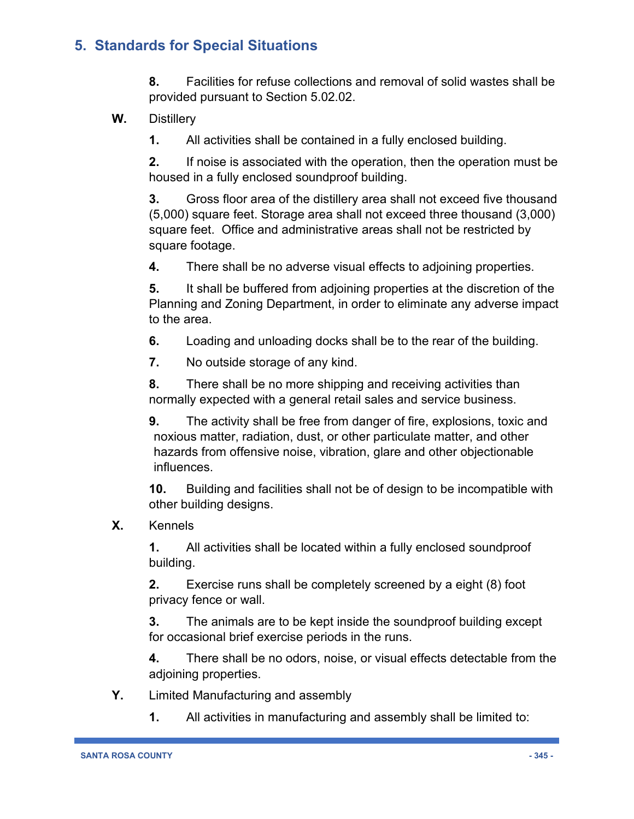**8.** Facilities for refuse collections and removal of solid wastes shall be provided pursuant to Section 5.02.02.

**W.** Distillery

**1.** All activities shall be contained in a fully enclosed building.

**2.** If noise is associated with the operation, then the operation must be housed in a fully enclosed soundproof building.

**3.** Gross floor area of the distillery area shall not exceed five thousand (5,000) square feet. Storage area shall not exceed three thousand (3,000) square feet. Office and administrative areas shall not be restricted by square footage.

**4.** There shall be no adverse visual effects to adjoining properties.

**5.** It shall be buffered from adjoining properties at the discretion of the Planning and Zoning Department, in order to eliminate any adverse impact to the area.

**6.** Loading and unloading docks shall be to the rear of the building.

**7.** No outside storage of any kind.

**8.** There shall be no more shipping and receiving activities than normally expected with a general retail sales and service business.

**9.** The activity shall be free from danger of fire, explosions, toxic and noxious matter, radiation, dust, or other particulate matter, and other hazards from offensive noise, vibration, glare and other objectionable influences.

**10.** Building and facilities shall not be of design to be incompatible with other building designs.

**X.** Kennels

**1.** All activities shall be located within a fully enclosed soundproof building.

**2.** Exercise runs shall be completely screened by a eight (8) foot privacy fence or wall.

**3.** The animals are to be kept inside the soundproof building except for occasional brief exercise periods in the runs.

**4.** There shall be no odors, noise, or visual effects detectable from the adjoining properties.

- **Y.** Limited Manufacturing and assembly
	- **1.** All activities in manufacturing and assembly shall be limited to: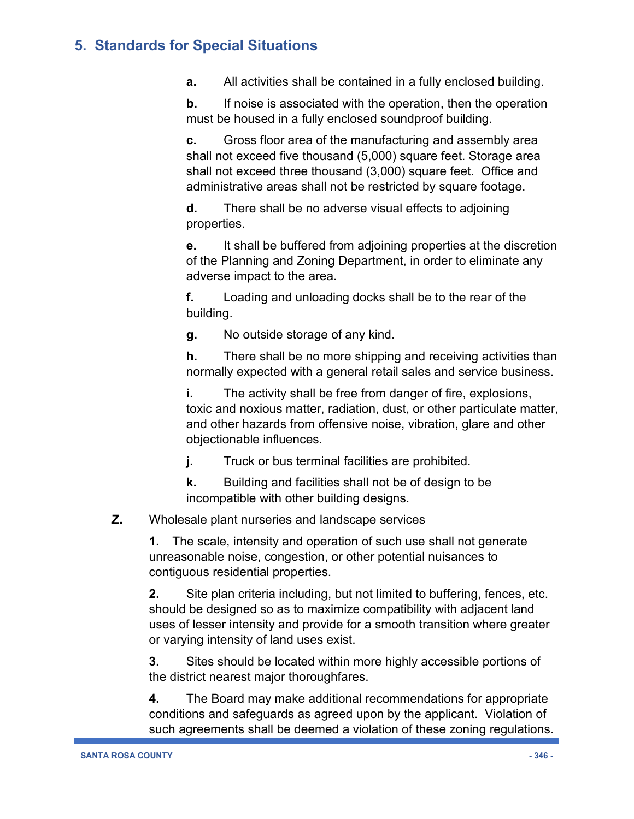**a.** All activities shall be contained in a fully enclosed building.

**b.** If noise is associated with the operation, then the operation must be housed in a fully enclosed soundproof building.

**c.** Gross floor area of the manufacturing and assembly area shall not exceed five thousand (5,000) square feet. Storage area shall not exceed three thousand (3,000) square feet. Office and administrative areas shall not be restricted by square footage.

**d.** There shall be no adverse visual effects to adjoining properties.

**e.** It shall be buffered from adjoining properties at the discretion of the Planning and Zoning Department, in order to eliminate any adverse impact to the area.

**f.** Loading and unloading docks shall be to the rear of the building.

**g.** No outside storage of any kind.

**h.** There shall be no more shipping and receiving activities than normally expected with a general retail sales and service business.

**i.** The activity shall be free from danger of fire, explosions, toxic and noxious matter, radiation, dust, or other particulate matter, and other hazards from offensive noise, vibration, glare and other objectionable influences.

**j.** Truck or bus terminal facilities are prohibited.

**k.** Building and facilities shall not be of design to be incompatible with other building designs.

#### **Z.** Wholesale plant nurseries and landscape services

**1.** The scale, intensity and operation of such use shall not generate unreasonable noise, congestion, or other potential nuisances to contiguous residential properties.

**2.** Site plan criteria including, but not limited to buffering, fences, etc. should be designed so as to maximize compatibility with adjacent land uses of lesser intensity and provide for a smooth transition where greater or varying intensity of land uses exist.

**3.** Sites should be located within more highly accessible portions of the district nearest major thoroughfares.

**4.** The Board may make additional recommendations for appropriate conditions and safeguards as agreed upon by the applicant. Violation of such agreements shall be deemed a violation of these zoning regulations.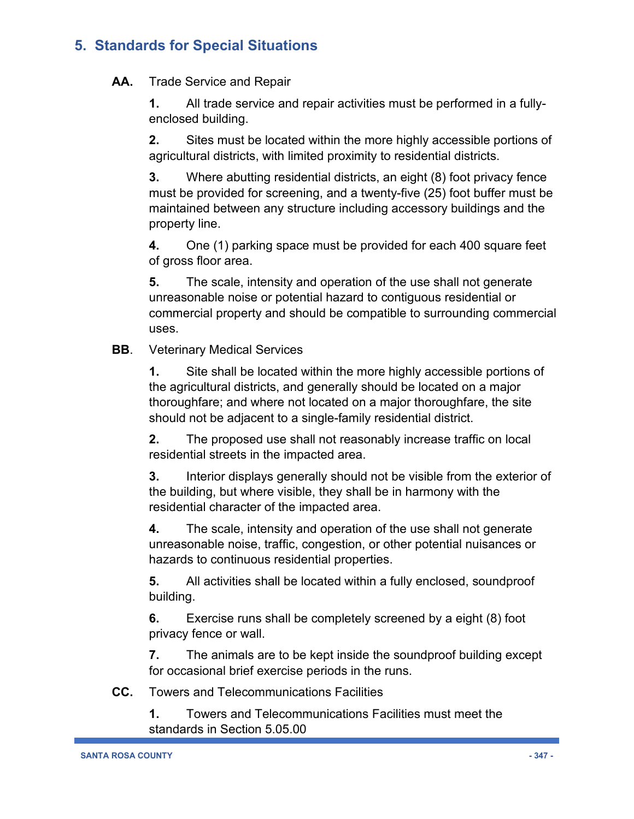#### **AA.** Trade Service and Repair

**1.** All trade service and repair activities must be performed in a fullyenclosed building.

**2.** Sites must be located within the more highly accessible portions of agricultural districts, with limited proximity to residential districts.

**3.** Where abutting residential districts, an eight (8) foot privacy fence must be provided for screening, and a twenty-five (25) foot buffer must be maintained between any structure including accessory buildings and the property line.

**4.** One (1) parking space must be provided for each 400 square feet of gross floor area.

**5.** The scale, intensity and operation of the use shall not generate unreasonable noise or potential hazard to contiguous residential or commercial property and should be compatible to surrounding commercial uses.

#### **BB**. Veterinary Medical Services

**1.** Site shall be located within the more highly accessible portions of the agricultural districts, and generally should be located on a major thoroughfare; and where not located on a major thoroughfare, the site should not be adjacent to a single-family residential district.

**2.** The proposed use shall not reasonably increase traffic on local residential streets in the impacted area.

**3.** Interior displays generally should not be visible from the exterior of the building, but where visible, they shall be in harmony with the residential character of the impacted area.

**4.** The scale, intensity and operation of the use shall not generate unreasonable noise, traffic, congestion, or other potential nuisances or hazards to continuous residential properties.

**5.** All activities shall be located within a fully enclosed, soundproof building.

**6.** Exercise runs shall be completely screened by a eight (8) foot privacy fence or wall.

**7.** The animals are to be kept inside the soundproof building except for occasional brief exercise periods in the runs.

**CC.** Towers and Telecommunications Facilities

**1.** Towers and Telecommunications Facilities must meet the standards in Section 5.05.00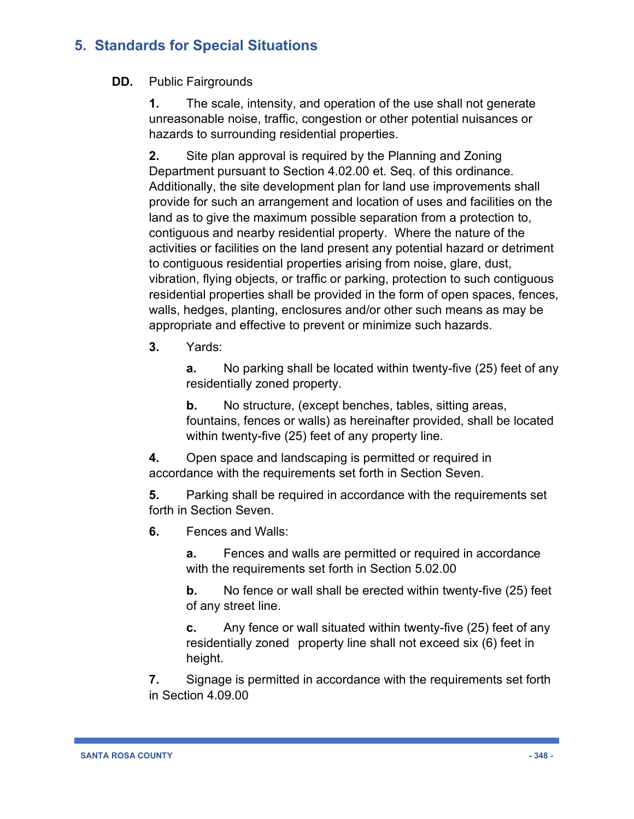**DD.** Public Fairgrounds

**1.** The scale, intensity, and operation of the use shall not generate unreasonable noise, traffic, congestion or other potential nuisances or hazards to surrounding residential properties.

**2.** Site plan approval is required by the Planning and Zoning Department pursuant to Section 4.02.00 et. Seq. of this ordinance. Additionally, the site development plan for land use improvements shall provide for such an arrangement and location of uses and facilities on the land as to give the maximum possible separation from a protection to, contiguous and nearby residential property. Where the nature of the activities or facilities on the land present any potential hazard or detriment to contiguous residential properties arising from noise, glare, dust, vibration, flying objects, or traffic or parking, protection to such contiguous residential properties shall be provided in the form of open spaces, fences, walls, hedges, planting, enclosures and/or other such means as may be appropriate and effective to prevent or minimize such hazards.

**3.** Yards:

**a.** No parking shall be located within twenty-five (25) feet of any residentially zoned property.

**b.** No structure, (except benches, tables, sitting areas, fountains, fences or walls) as hereinafter provided, shall be located within twenty-five (25) feet of any property line.

**4.** Open space and landscaping is permitted or required in accordance with the requirements set forth in Section Seven.

**5.** Parking shall be required in accordance with the requirements set forth in Section Seven.

**6.** Fences and Walls:

**a.** Fences and walls are permitted or required in accordance with the requirements set forth in Section 5.02.00

**b.** No fence or wall shall be erected within twenty-five (25) feet of any street line.

**c.** Any fence or wall situated within twenty-five (25) feet of any residentially zoned property line shall not exceed six (6) feet in height.

**7.** Signage is permitted in accordance with the requirements set forth in Section 4.09.00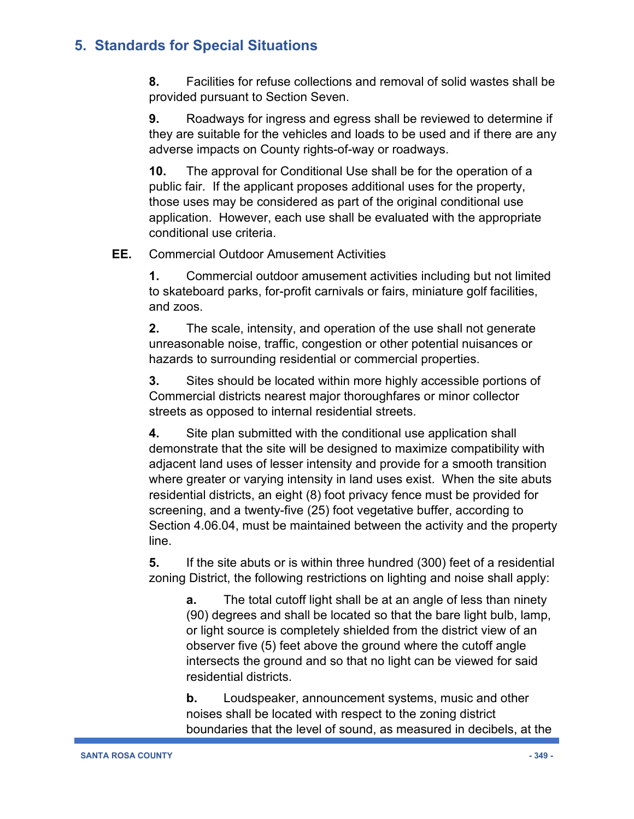**8.** Facilities for refuse collections and removal of solid wastes shall be provided pursuant to Section Seven.

**9.** Roadways for ingress and egress shall be reviewed to determine if they are suitable for the vehicles and loads to be used and if there are any adverse impacts on County rights-of-way or roadways.

**10.** The approval for Conditional Use shall be for the operation of a public fair. If the applicant proposes additional uses for the property, those uses may be considered as part of the original conditional use application. However, each use shall be evaluated with the appropriate conditional use criteria.

#### **EE.** Commercial Outdoor Amusement Activities

**1.** Commercial outdoor amusement activities including but not limited to skateboard parks, for-profit carnivals or fairs, miniature golf facilities, and zoos.

**2.** The scale, intensity, and operation of the use shall not generate unreasonable noise, traffic, congestion or other potential nuisances or hazards to surrounding residential or commercial properties.

**3.** Sites should be located within more highly accessible portions of Commercial districts nearest major thoroughfares or minor collector streets as opposed to internal residential streets.

**4.** Site plan submitted with the conditional use application shall demonstrate that the site will be designed to maximize compatibility with adjacent land uses of lesser intensity and provide for a smooth transition where greater or varying intensity in land uses exist. When the site abuts residential districts, an eight (8) foot privacy fence must be provided for screening, and a twenty-five (25) foot vegetative buffer, according to Section 4.06.04, must be maintained between the activity and the property line.

**5.** If the site abuts or is within three hundred (300) feet of a residential zoning District, the following restrictions on lighting and noise shall apply:

**a.** The total cutoff light shall be at an angle of less than ninety (90) degrees and shall be located so that the bare light bulb, lamp, or light source is completely shielded from the district view of an observer five (5) feet above the ground where the cutoff angle intersects the ground and so that no light can be viewed for said residential districts.

**b.** Loudspeaker, announcement systems, music and other noises shall be located with respect to the zoning district boundaries that the level of sound, as measured in decibels, at the